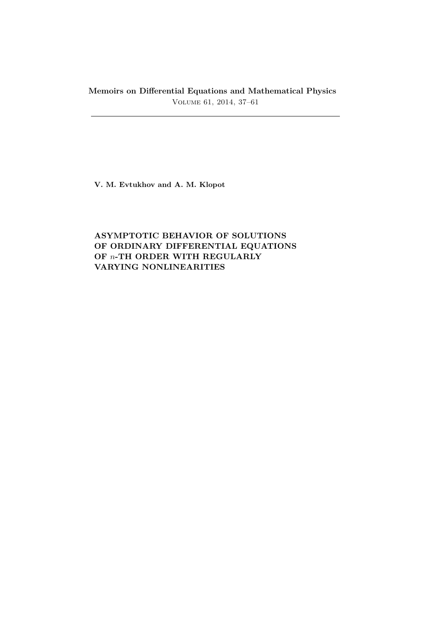**Memoirs on Differential Equations and Mathematical Physics** Volume 61, 2014, 37–61

**V. M. Evtukhov and A. M. Klopot**

**ASYMPTOTIC BEHAVIOR OF SOLUTIONS OF ORDINARY DIFFERENTIAL EQUATIONS OF** *n***-TH ORDER WITH REGULARLY VARYING NONLINEARITIES**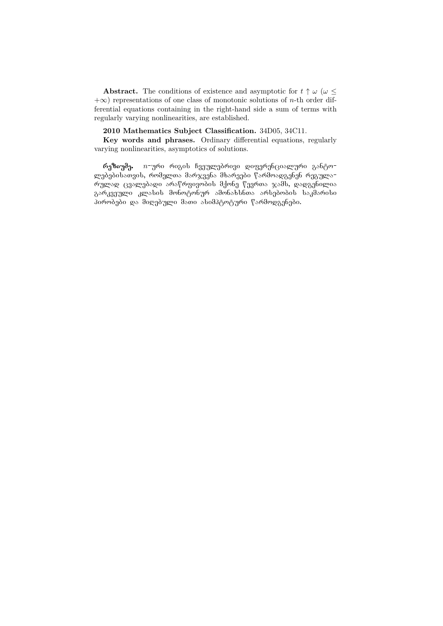**Abstract.** The conditions of existence and asymptotic for  $t \uparrow \omega$  ( $\omega \leq$ +*∞*) representations of one class of monotonic solutions of *n*-th order differential equations containing in the right-hand side a sum of terms with regularly varying nonlinearities, are established.

## **2010 Mathematics Subject Classification.** 34D05, 34C11.

**Key words and phrases.** Ordinary differential equations, regularly varying nonlinearities, asymptotics of solutions.

რეზიუმე. *n*-ური რიგის ჩვეულებრივი დიფერენციალური განტოლებებისათვის, რომელთა მარჯვენა მხარეები წარმოადგენენ რეგულა− <sup>6</sup>ულად ცვალებადი არაწრფივობის მქონე წევრთა ჯამს, დადგენილია გარკვეული კლასის მონოტონურ ამონახსნთა არსებობის საკშარისი პირობები და მიღებული მათი ასიმპტოტური წარმოდგენები.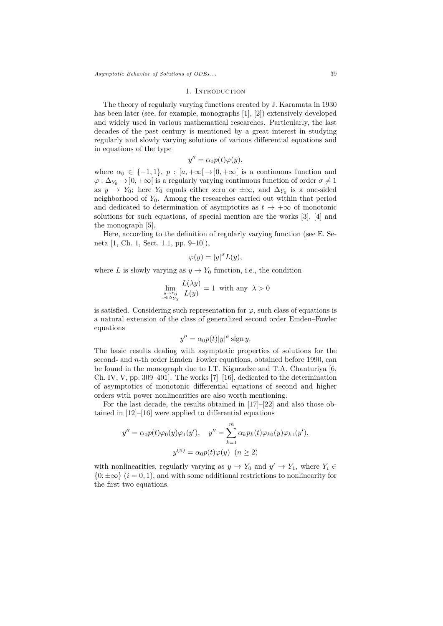#### 1. INTRODUCTION

The theory of regularly varying functions created by J. Karamata in 1930 has been later (see, for example, monographs [1], [2]) extensively developed and widely used in various mathematical researches. Particularly, the last decades of the past century is mentioned by a great interest in studying regularly and slowly varying solutions of various differential equations and in equations of the type

$$
y'' = \alpha_0 p(t)\varphi(y),
$$

where  $\alpha_0 \in \{-1,1\}$ ,  $p : [a, +\infty) \to [0, +\infty)$  is a continuous function and  $\varphi : \Delta_{Y_0} \to ]0, +\infty[$  is a regularly varying continuous function of order  $\sigma \neq 1$ as  $y \to Y_0$ ; here  $Y_0$  equals either zero or  $\pm \infty$ , and  $\Delta_{Y_0}$  is a one-sided neighborhood of *Y*0. Among the researches carried out within that period and dedicated to determination of asymptotics as  $t \to +\infty$  of monotonic solutions for such equations, of special mention are the works [3], [4] and the monograph [5].

Here, according to the definition of regularly varying function (see E. Seneta [1, Ch. 1, Sect. 1.1, pp. 9–10]),

$$
\varphi(y) = |y|^{\sigma} L(y),
$$

where *L* is slowly varying as  $y \to Y_0$  function, i.e., the condition

$$
\lim_{\substack{y \to Y_0 \\ y \in \Delta_{Y_0}}} \frac{L(\lambda y)}{L(y)} = 1
$$
 with any  $\lambda > 0$ 

is satisfied. Considering such representation for  $\varphi$ , such class of equations is a natural extension of the class of generalized second order Emden–Fowler equations

$$
y'' = \alpha_0 p(t) |y|^\sigma \operatorname{sign} y.
$$

The basic results dealing with asymptotic properties of solutions for the second- and *n*-th order Emden–Fowler equations, obtained before 1990, can be found in the monograph due to I.T. Kiguradze and T.A. Chanturiya [6, Ch. IV, V, pp. 309–401]. The works [7]–[16], dedicated to the determination of asymptotics of monotonic differential equations of second and higher orders with power nonlinearities are also worth mentioning.

For the last decade, the results obtained in [17]–[22] and also those obtained in [12]–[16] were applied to differential equations

$$
y'' = \alpha_0 p(t)\varphi_0(y)\varphi_1(y'), \quad y'' = \sum_{k=1}^m \alpha_k p_k(t)\varphi_{k0}(y)\varphi_{k1}(y'),
$$

$$
y^{(n)} = \alpha_0 p(t)\varphi(y) \quad (n \ge 2)
$$

with nonlinearities, regularly varying as  $y \to Y_0$  and  $y' \to Y_1$ , where  $Y_i \in$  ${0; \pm \infty}$  (*i* = 0, 1), and with some additional restrictions to nonlinearity for the first two equations.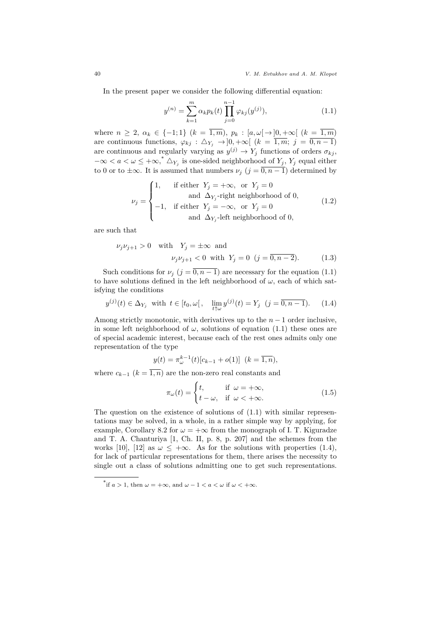In the present paper we consider the following differential equation:

∑*m*

$$
y^{(n)} = \sum_{k=1}^{m} \alpha_k p_k(t) \prod_{j=0}^{n-1} \varphi_{kj}(y^{(j)}), \qquad (1.1)
$$

where  $n \geq 2$ ,  $\alpha_k \in \{-1, 1\}$   $(k = \overline{1, m})$ ,  $p_k : [a, \omega] \to ]0, +\infty[$   $(k = \overline{1, m})$ are continuous functions,  $\varphi_{kj} : \triangle_{Y_j} \to ]0, +\infty[$  ( $k = \overline{1,m}$ ;  $j = \overline{0,n-1}$ ) are continuous and regularly varying as  $y^{(j)} \to Y_j$  functions of orders  $\sigma_{kj}$ ,  $-\infty < a < \omega \leq +\infty$ ,<sup>\*</sup> ∆<sub>*Y<sub>j</sub>*</sub> is one-sided neighborhood of *Y<sub>j</sub>*, *Y<sub>j</sub>* equal either to 0 or to  $\pm \infty$ . It is assumed that numbers  $\nu_j$  ( $j = \overline{0, n-1}$ ) determined by

$$
\nu_j = \begin{cases}\n1, & \text{if either } Y_j = +\infty, \text{ or } Y_j = 0 \\
& \text{and } \Delta_{Y_j}\text{-right neighborhood of } 0, \\
-1, & \text{if either } Y_j = -\infty, \text{ or } Y_j = 0 \\
& \text{and } \Delta_{Y_j}\text{-left neighborhood of } 0,\n\end{cases}
$$
\n(1.2)

are such that

$$
\nu_j \nu_{j+1} > 0
$$
 with  $Y_j = \pm \infty$  and  
 $\nu_j \nu_{j+1} < 0$  with  $Y_j = 0$   $(j = \overline{0, n-2})$ . (1.3)

Such conditions for  $\nu_j$  ( $j = \overline{0, n-1}$ ) are necessary for the equation (1.1) to have solutions defined in the left neighborhood of  $\omega$ , each of which satisfying the conditions

$$
y^{(j)}(t) \in \Delta_{Y_j}
$$
 with  $t \in [t_0, \omega], \quad \lim_{t \uparrow \omega} y^{(j)}(t) = Y_j \quad (j = \overline{0, n-1}).$  (1.4)

Among strictly monotonic, with derivatives up to the  $n-1$  order inclusive, in some left neighborhood of  $\omega$ , solutions of equation (1.1) these ones are of special academic interest, because each of the rest ones admits only one representation of the type

$$
y(t) = \pi_{\omega}^{k-1}(t)[c_{k-1} + o(1)] \ \ (k = \overline{1,n}),
$$

where  $c_{k-1}$  ( $k = \overline{1,n}$ ) are the non-zero real constants and

$$
\pi_{\omega}(t) = \begin{cases} t, & \text{if } \omega = +\infty, \\ t - \omega, & \text{if } \omega < +\infty. \end{cases}
$$
(1.5)

The question on the existence of solutions of (1.1) with similar representations may be solved, in a whole, in a rather simple way by applying, for example, Corollary 8.2 for  $\omega = +\infty$  from the monograph of I. T. Kiguradze and T. A. Chanturiya [1, Ch. II, p. 8, p. 207] and the schemes from the works [10], [12] as  $\omega \leq +\infty$ . As for the solutions with properties (1.4), for lack of particular representations for them, there arises the necessity to single out a class of solutions admitting one to get such representations.

<sup>&</sup>lt;sup>\*</sup>if  $a > 1$ , then  $\omega = +\infty$ , and  $\omega - 1 < a < \omega$  if  $\omega < +\infty$ .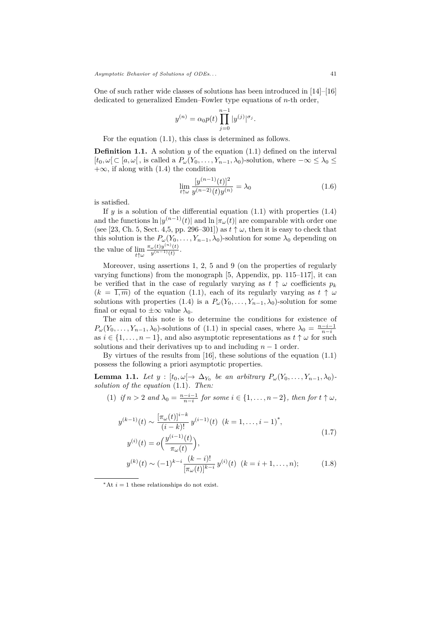One of such rather wide classes of solutions has been introduced in [14]–[16] dedicated to generalized Emden–Fowler type equations of *n*-th order,

$$
y^{(n)} = \alpha_0 p(t) \prod_{j=0}^{n-1} |y^{(j)}|^{\sigma_j}.
$$

For the equation (1.1), this class is determined as follows.

**Definition 1.1.** A solution *y* of the equation (1.1) defined on the interval  $[t_0, \omega] \subset [a, \omega]$ , is called a  $P_\omega(Y_0, \ldots, Y_{n-1}, \lambda_0)$ -solution, where  $-\infty \leq \lambda_0 \leq$ +*∞*, if along with (1.4) the condition

$$
\lim_{t \uparrow \omega} \frac{[y^{(n-1)}(t)]^2}{y^{(n-2)}(t)y^{(n)}} = \lambda_0
$$
\n(1.6)

is satisfied.

If  $y$  is a solution of the differential equation  $(1.1)$  with properties  $(1.4)$ and the functions  $\ln |y^{(n-1)}(t)|$  and  $\ln |\pi_{\omega}(t)|$  are comparable with order one (see [23, Ch. 5, Sect. 4,5, pp. 296–301]) as  $t \uparrow \omega$ , then it is easy to check that this solution is the  $P_{\omega}(Y_0, \ldots, Y_{n-1}, \lambda_0)$ -solution for some  $\lambda_0$  depending on the value of lim *t↑ω*  $\pi_{\omega}(t)y^{(n)}(t)$  $\frac{\omega(t)y^{(n)}(t)}{y^{(n-1)}(t)}$ .

Moreover, using assertions 1, 2, 5 and 9 (on the properties of regularly varying functions) from the monograph [5, Appendix, pp. 115–117], it can be verified that in the case of regularly varying as  $t \uparrow \omega$  coefficients  $p_k$  $(k = \overline{1,m})$  of the equation (1.1), each of its regularly varying as  $t \uparrow \omega$ solutions with properties (1.4) is a  $P_{\omega}(Y_0, \ldots, Y_{n-1}, \lambda_0)$ -solution for some final or equal to  $\pm\infty$  value  $\lambda_0$ .

The aim of this note is to determine the conditions for existence of  $P_{\omega}(Y_0, \ldots, Y_{n-1}, \lambda_0)$ -solutions of (1.1) in special cases, where  $\lambda_0 = \frac{n-i-1}{n-i}$ as  $i \in \{1, \ldots, n-1\}$ , and also asymptotic representations as  $t \uparrow \omega$  for such solutions and their derivatives up to and including  $n - 1$  order.

By virtues of the results from [16], these solutions of the equation (1.1) possess the following a priori asymptotic properties.

**Lemma 1.1.** *Let*  $y$  :  $[t_0, \omega] \rightarrow \Delta_{Y_0}$  *be an arbitrary*  $P_{\omega}(Y_0, \ldots, Y_{n-1}, \lambda_0)$ *solution of the equation* (1.1)*. Then:*

(1) if  $n > 2$  and  $\lambda_0 = \frac{n-i-1}{n-i}$  for some  $i \in \{1, ..., n-2\}$ , then for  $t \uparrow \omega$ ,

$$
y^{(k-1)}(t) \sim \frac{[\pi_{\omega}(t)]^{i-k}}{(i-k)!} y^{(i-1)}(t) \ (k = 1, \dots, i-1)^*,
$$
  

$$
y^{(i)}(t) = o\left(\frac{y^{(i-1)}(t)}{i}\right)
$$
 (1.7)

$$
y^{(i)}(t) = o\left(\frac{y^{(i)}}{\pi_{\omega}(t)}\right),
$$
  

$$
y^{(k)}(t) = o\left(\frac{y^{(i)}}{\pi_{\omega}(t)}\right),
$$

$$
y^{(k)}(t) \sim (-1)^{k-i} \frac{(k-i)!}{[\pi_{\omega}(t)]^{k-i}} y^{(i)}(t) \quad (k = i+1, \dots, n); \tag{1.8}
$$

*<sup>∗</sup>*At *i* = 1 these relationships do not exist.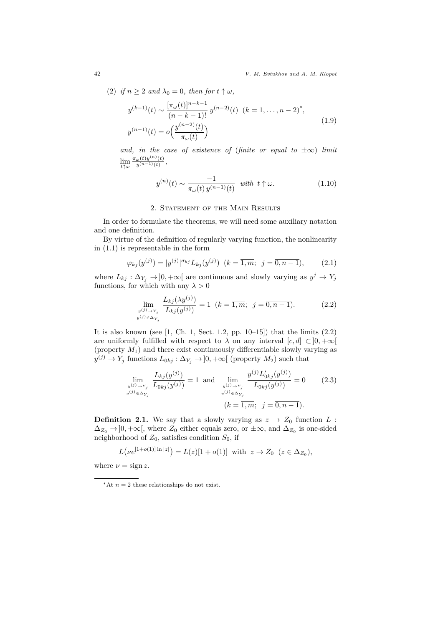42 *V. M. Evtukhov and A. M. Klopot*

(2) *if*  $n \geq 2$  *and*  $\lambda_0 = 0$ *, then for*  $t \uparrow \omega$ *,* 

$$
y^{(k-1)}(t) \sim \frac{[\pi_{\omega}(t)]^{n-k-1}}{(n-k-1)!} y^{(n-2)}(t) \quad (k=1,\ldots,n-2)^{*},
$$
  

$$
y^{(n-1)}(t) = o\left(\frac{y^{(n-2)}(t)}{\pi_{\omega}(t)}\right)
$$
 (1.9)

*and, in the case of existence of (finite or equal to*  $\pm \infty$ ) *limit* lim *t↑ω*  $\pi_{\omega}(t)y^{(n)}(t)$  $\frac{\omega(t)y^{(n)}(t)}{y^{(n-1)}(t)},$ 

$$
y^{(n)}(t) \sim \frac{-1}{\pi_{\omega}(t) y^{(n-1)}(t)} \quad with \quad t \uparrow \omega. \tag{1.10}
$$

# 2. STATEMENT OF THE MAIN RESULTS

In order to formulate the theorems, we will need some auxiliary notation and one definition.

By virtue of the definition of regularly varying function, the nonlinearity in (1.1) is representable in the form

$$
\varphi_{kj}(y^{(j)}) = |y^{(j)}|^{\sigma_{kj}} L_{kj}(y^{(j)}) \quad (k = \overline{1, m}; \ \ j = \overline{0, n-1}), \tag{2.1}
$$

where  $L_{kj}: \Delta_{Y_j} \to ]0, +\infty[$  are continuous and slowly varying as  $y^j \to Y_j$ functions, for which with any  $\lambda > 0$ 

$$
\lim_{\substack{y^{(j)} \to Y_j \\ y^{(j)} \in \Delta_{Y_j}}} \frac{L_{kj}(\lambda y^{(j)})}{L_{kj}(y^{(j)})} = 1 \ \ (k = \overline{1, m}; \ \ j = \overline{0, n-1}). \tag{2.2}
$$

It is also known (see  $[1, Ch. 1, Sect. 1.2, pp. 10-15]$ ) that the limits  $(2.2)$ are uniformly fulfilled with respect to  $\lambda$  on any interval  $[c, d] \subset ]0, +\infty[$ (property  $M_1$ ) and there exist continuously differentiable slowly varying as  $y^{(j)} \to Y_j$  functions  $L_{0kj} : \Delta_{Y_j} \to ]0, +\infty[$  (property  $M_2$ ) such that

$$
\lim_{\substack{y^{(j)} \to Y_j \\ y^{(j)} \in \Delta_{Y_j}}} \frac{L_{kj}(y^{(j)})}{L_{0kj}(y^{(j)})} = 1 \text{ and } \lim_{\substack{y^{(j)} \to Y_j \\ y^{(j)} \in \Delta_{Y_j}}} \frac{y^{(j)} L'_{0kj}(y^{(j)})}{L_{0kj}(y^{(j)})} = 0 \qquad (2.3)
$$
\n
$$
(k = \overline{1, m}; \ j = \overline{0, n - 1}).
$$

**Definition 2.1.** We say that a slowly varying as  $z \rightarrow Z_0$  function  $L$ :  $\Delta_{Z_0} \to ]0, +\infty[$ , where  $Z_0$  either equals zero, or  $\pm \infty$ , and  $\Delta_{Z_0}$  is one-sided neighborhood of  $Z_0$ , satisfies condition  $S_0$ , if

$$
L(\nu e^{[1+o(1)]\ln|z|}) = L(z)[1+o(1)] \text{ with } z \to Z_0 \ (z \in \Delta_{Z_0}),
$$

where  $\nu = \text{sign } z$ .

*<sup>∗</sup>*At *n* = 2 these relationships do not exist.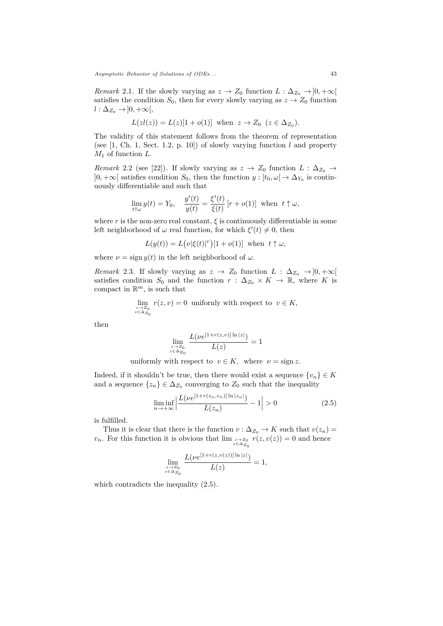*Remark* 2.1*.* If the slowly varying as  $z \to Z_0$  function  $L : \Delta_{Z_0} \to ]0, +\infty[$ satisfies the condition  $S_0$ , then for every slowly varying as  $z \to Z_0$  function  $l : \Delta_{Z_0} \rightarrow ]0, +\infty[,$ 

$$
L(zl(z)) = L(z)[1 + o(1)] \text{ when } z \to Z_0 \ (z \in \Delta_{Z_0}).
$$

The validity of this statement follows from the theorem of representation (see [1, Ch. 1, Sect. 1.2, p. 10]) of slowly varying function *l* and property *M*<sup>1</sup> of function *L*.

*Remark* 2.2 (see [22]). If slowly varying as  $z \to Z_0$  function  $L : \Delta_{Z_0} \to$  $]0, +∞[$  satisfies condition  $S_0$ , then the function  $y : [t_0, ω[ → ∆<sub>Y_0</sub>]$  is continuously differentiable and such that

$$
\lim_{t \uparrow \omega} y(t) = Y_0, \quad \frac{y'(t)}{y(t)} = \frac{\xi'(t)}{\xi(t)} [r + o(1)] \text{ when } t \uparrow \omega,
$$

where  $r$  is the non-zero real constant,  $\xi$  is continuously differentiable in some left neighborhood of  $\omega$  real function, for which  $\xi'(t) \neq 0$ , then

$$
L(y(t)) = L(\nu|\xi(t)|^r)[1 + o(1)] \text{ when } t \uparrow \omega,
$$

where  $\nu = \text{sign } y(t)$  in the left neighborhood of  $\omega$ .

*Remark* 2.3*.* If slowly varying as  $z \to Z_0$  function  $L : \Delta_{Z_0} \to ]0, +\infty[$ satisfies condition  $S_0$  and the function  $r : \Delta_{Z_0} \times K \to \mathbb{R}$ , where K is compact in  $\mathbb{R}^m$ , is such that

$$
\lim_{\substack{z \to Z_0 \\ z \in \Delta_{Z_0}}} r(z, v) = 0
$$
 uniformly with respect to  $v \in K$ ,

then

$$
\lim_{\stackrel{z\rightarrow Z_0}{z\in \Delta_{Z_0}}} \frac{L(\nu e^{[1+r(z,v)]\ln|z|})}{L(z)} = 1
$$

uniformly with respect to  $v \in K$ , where  $\nu = \text{sign } z$ .

Indeed, if it shouldn't be true, then there would exist a sequence  $\{v_n\} \in K$ and a sequence  $\{z_n\} \in \Delta_{Z_0}$  converging to  $Z_0$  such that the inequality

$$
\liminf_{n \to +\infty} \left| \frac{L(\nu e^{[1+r(z_n, v_n)] \ln |z_n|})}{L(z_n)} - 1 \right| > 0 \tag{2.5}
$$

is fulfilled.

Thus it is clear that there is the function  $v : \Delta_{Z_0} \to K$  such that  $v(z_n) =$ *v<sub>n</sub>*. For this function it is obvious that  $\lim_{z \to z_0} r(z, v(z)) = 0$  and hence

$$
\lim_{\stackrel{z\rightarrow Z_0}{z\in \Delta_{Z_0}}}\frac{L(\nu e^{[1+r(z,v(z))]\ln|z|})}{L(z)}=1,
$$

which contradicts the inequality (2.5).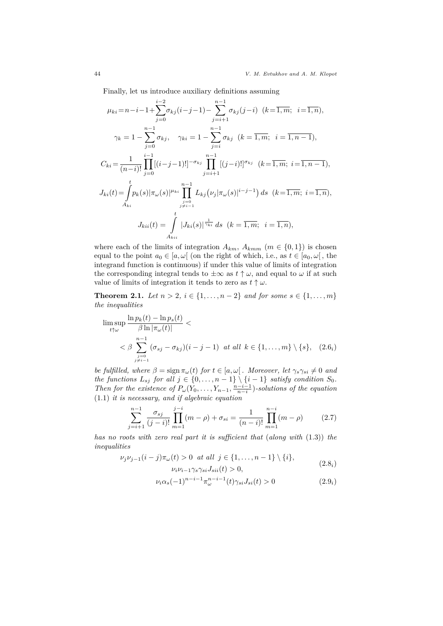Finally, let us introduce auxiliary definitions assuming

$$
\mu_{ki} = n - i - 1 + \sum_{j=0}^{i-2} \sigma_{kj} (i - j - 1) - \sum_{j=i+1}^{n-1} \sigma_{kj} (j - i) \quad (k = \overline{1, m}; \quad i = \overline{1, n}),
$$
  
\n
$$
\gamma_k = 1 - \sum_{j=0}^{n-1} \sigma_{kj}, \quad \gamma_{ki} = 1 - \sum_{j=i}^{n-1} \sigma_{kj} \quad (k = \overline{1, m}; \quad i = \overline{1, n - 1}),
$$
  
\n
$$
C_{ki} = \frac{1}{(n-i)!} \prod_{j=0}^{i-1} [(i-j-1)!]^{-\sigma_{kj}} \prod_{j=i+1}^{n-1} [(j-i)!]^{\sigma_{kj}} \quad (k = \overline{1, m}; \quad i = \overline{1, n - 1}),
$$
  
\n
$$
J_{ki}(t) = \int_{A_{ki}}^{t} p_k(s) |\pi_{\omega}(s)|^{\mu_{ki}} \prod_{j=i+1}^{n-1} L_{kj} (\nu_j |\pi_{\omega}(s)|^{i-j-1}) ds \quad (k = \overline{1, m}; \quad i = \overline{1, n}),
$$
  
\n
$$
J_{kii}(t) = \int_{A_{kii}}^{t} |J_{ki}(s)|^{\frac{1}{\gamma_{ki}}} ds \quad (k = \overline{1, m}; \quad i = \overline{1, n}),
$$

where each of the limits of integration  $A_{km}$ ,  $A_{kmm}$  ( $m \in \{0,1\}$ ) is chosen equal to the point  $a_0 \in [a, \omega]$  (on the right of which, i.e., as  $t \in [a_0, \omega]$ , the integrand function is continuous) if under this value of limits of integration the corresponding integral tends to  $\pm \infty$  as  $t \uparrow \omega$ , and equal to  $\omega$  if at such value of limits of integration it tends to zero as  $t \uparrow \omega$ .

**Theorem 2.1.** *Let*  $n > 2$ *,*  $i \in \{1, ..., n-2\}$  *and for some*  $s \in \{1, ..., m\}$ *the inequalities*

$$
\limsup_{t \uparrow \omega} \frac{\ln p_k(t) - \ln p_s(t)}{\beta \ln |\pi_\omega(t)|} \n< \beta \sum_{\substack{j=0 \ j \neq i-1}}^{n-1} (\sigma_{sj} - \sigma_{kj})(i-j-1) \text{ at all } k \in \{1, ..., m\} \setminus \{s\}, \quad (2.6_i)
$$

*be fulfilled, where*  $\beta = \text{sign} \pi_{\omega}(t)$  *for*  $t \in [a, \omega]$ *. Moreover, let*  $\gamma_s \gamma_{si} \neq 0$  *and the functions*  $L_{sj}$  *for all*  $j \in \{0, \ldots, n-1\} \setminus \{i-1\}$  *satisfy condition*  $S_0$ *. Then for the existence of*  $P_{\omega}(Y_0, \ldots, Y_{n-1}, \frac{n-i-1}{n-i})$ *-solutions of the equation* (1.1) *it is necessary, and if algebraic equation*

$$
\sum_{j=i+1}^{n-1} \frac{\sigma_{sj}}{(j-i)!} \prod_{m=1}^{j-i} (m-\rho) + \sigma_{si} = \frac{1}{(n-i)!} \prod_{m=1}^{n-i} (m-\rho) \tag{2.7}
$$

*has no roots with zero real part it is sufficient that* (*along with* (1.3)) *the inequalities*

$$
\nu_j \nu_{j-1} (i-j) \pi_\omega(t) > 0 \text{ at all } j \in \{1, ..., n-1\} \setminus \{i\},
$$
  

$$
\nu_i \nu_{i-1} \gamma_s \gamma_{si} J_{sii}(t) > 0,
$$
 (2.8<sub>i</sub>)

$$
\nu_i \alpha_s (-1)^{n-i-1} \pi_{\omega}^{n-i-1}(t) \gamma_{si} J_{si}(t) > 0
$$
\n(2.9<sub>i</sub>)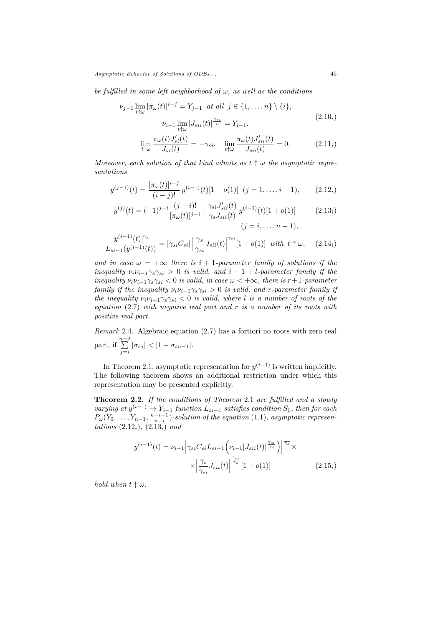*be fulfilled in some left neighborhood of ω, as well as the conditions*

$$
\nu_{j-1} \lim_{t \uparrow \omega} |\pi_{\omega}(t)|^{i-j} = Y_{j-1} \quad \text{at all} \quad j \in \{1, \dots, n\} \setminus \{i\},
$$
  

$$
\nu_{i-1} \lim_{t \uparrow \omega} |J_{sii}(t)|^{\frac{\gamma_{si}}{\gamma_s}} = Y_{i-1},
$$
\n(2.10<sub>i</sub>)

$$
\lim_{t \uparrow \omega} \frac{\pi_{\omega}(t) J'_{si}(t)}{J_{si}(t)} = -\gamma_{si}, \quad \lim_{t \uparrow \omega} \frac{\pi_{\omega}(t) J'_{si}(t)}{J_{si}(t)} = 0.
$$
\n(2.11<sub>i</sub>)

*Moreover, each solution of that kind admits as*  $t \uparrow \omega$  *the asymptotic representations*

$$
y^{(j-1)}(t) = \frac{[\pi_{\omega}(t)]^{i-j}}{(i-j)!} y^{(i-1)}(t) [1 + o(1)] \quad (j = 1, ..., i-1), \qquad (2.12_i)
$$

$$
y^{(j)}(t) = (-1)^{j-i} \frac{(j-i)!}{[\pi_{\omega}(t)]^{j-i}} \cdot \frac{\gamma_{si} J'_{sii}(t)}{\gamma_s J_{sii}(t)} y^{(i-1)}(t)[1+o(1)] \qquad (2.13_i)
$$

$$
(j = i, \dots, n-1),
$$

$$
\frac{|y^{(i-1)}(t)|^{\gamma_s}}{L_{si-1}(y^{(i-1)}(t))} = |\gamma_{si}C_{si}| \left| \frac{\gamma_s}{\gamma_{si}} J_{sii}(t) \right|^{\gamma_{si}} [1 + o(1)] \text{ with } t \uparrow \omega, \quad (2.14_i)
$$

*and in case*  $\omega = +\infty$  *there is*  $i + 1$ *-parameter family of solutions if the inequality*  $\nu_i \nu_{i-1} \gamma_s \gamma_{si} > 0$  *is valid, and*  $i - 1 + l$ *-parameter family if the inequality*  $\nu_i \nu_{i-1} \gamma_s \gamma_{si} < 0$  *is valid, in case*  $\omega < +\infty$ *, there is*  $r+1$ *-parameter family if the inequality*  $\nu_i \nu_{i-1} \gamma_s \gamma_{si} > 0$  *is valid, and r-parameter family if the inequality*  $\nu_i \nu_{i-1} \gamma_s \gamma_{si} < 0$  *is valid, where l is a number of roots of the equation* (2.7) *with negative real part and r is a number of its roots with positive real part.*

*Remark* 2.4*.* Algebraic equation (2.7) has a fortiori no roots with zero real part, if  $\sum_{n=2}^{n-2}$  $\sum_{j=i} |\sigma_{sj}| < |1 - \sigma_{sn-1}|.$ 

In Theorem 2.1, asymptotic representation for  $y^{(i-1)}$  is written implicitly. The following theorem shows an additional restriction under which this representation may be presented explicitly.

**Theorem 2.2.** *If the conditions of Theorem* 2*.*1 *are fulfilled and a slowly*  $$  $P_{\omega}(Y_0, \ldots, Y_{n-1}, \frac{n-i-1}{n-i})$ -solution of the equation (1.1)*, asymptotic representations* (2.12*i*)*,* (2.13*i*) *and*

$$
y^{(i-1)}(t) = \nu_{i-1} \left| \gamma_{si} C_{si} L_{si-1} \left( \nu_{i-1} | J_{sii}(t) |^{\frac{\gamma_{si}}{\gamma_s}} \right) \right|^{\frac{1}{\gamma_s}} \times \\ \times \left| \frac{\gamma_s}{\gamma_{si}} J_{sii}(t) \right|^{\frac{\gamma_{si}}{\gamma_s}} [1 + o(1)] \tag{2.15i}
$$

*hold when*  $t \uparrow \omega$ *.*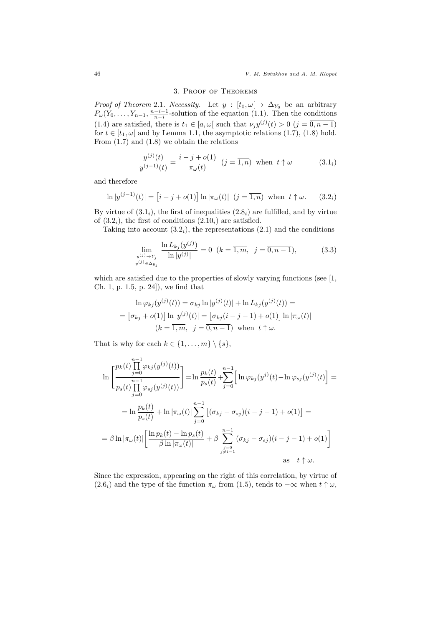### 3. Proof of Theorems

*Proof of Theorem* 2.1*. Necessity.* Let  $y: [t_0, \omega] \to \Delta_{Y_0}$  be an arbitrary  $P_{\omega}(Y_0, \ldots, Y_{n-1}, \frac{n-i-1}{n-i}$ -solution of the equation (1.1). Then the conditions (1.4) are satisfied, there is  $t_1 \in [a, \omega[$  such that  $\nu_j y^{(j)}(t) > 0$  ( $j = \overline{0, n-1}$ ) for  $t \in [t_1, \omega]$  and by Lemma 1.1, the asymptotic relations  $(1.7)$ ,  $(1.8)$  hold. From  $(1.7)$  and  $(1.8)$  we obtain the relations

$$
\frac{y^{(j)}(t)}{y^{(j-1)}(t)} = \frac{i-j+o(1)}{\pi_{\omega}(t)} \quad (j = \overline{1,n}) \text{ when } t \uparrow \omega \tag{3.1i}
$$

and therefore

$$
\ln|y^{(j-1)}(t)| = \left[i - j + o(1)\right] \ln|\pi_{\omega}(t)| \quad (j = \overline{1, n}) \text{ when } t \uparrow \omega. \tag{3.2.}
$$

By virtue of  $(3.1<sub>i</sub>)$ , the first of inequalities  $(2.8<sub>i</sub>)$  are fulfilled, and by virtue of  $(3.2<sub>i</sub>)$ , the first of conditions  $(2.10<sub>i</sub>)$  are satisfied.

Taking into account  $(3.2<sub>i</sub>)$ , the representations  $(2.1)$  and the conditions

$$
\lim_{\substack{y^{(j)} \to Y_j \\ y^{(j)} \in \Delta_{y_j}}} \frac{\ln L_{kj}(y^{(j)})}{\ln |y^{(j)}|} = 0 \ \ (k = \overline{1, m}, \ j = \overline{0, n-1}), \tag{3.3}
$$

which are satisfied due to the properties of slowly varying functions (see [1, Ch. 1, p. 1.5, p. 24]), we find that

$$
\ln \varphi_{kj}(y^{(j)}(t)) = \sigma_{kj} \ln |y^{(j)}(t)| + \ln L_{kj}(y^{(j)}(t)) =
$$
  
=  $[\sigma_{kj} + o(1)] \ln |y^{(j)}(t)| = [\sigma_{kj}(i - j - 1) + o(1)] \ln |\pi_{\omega}(t)|$   
 $(k = 1, m, j = 0, n - 1)$  when  $t \uparrow \omega$ .

That is why for each  $k \in \{1, \ldots, m\} \setminus \{s\},\$ 

$$
\ln \left[ \frac{p_k(t) \prod_{j=0}^{n-1} \varphi_{kj}(y^{(j)}(t))}{p_s(t) \prod_{j=0}^{n-1} \varphi_{sj}(y^{(j)}(t))} \right] = \ln \frac{p_k(t)}{p_s(t)} + \sum_{j=0}^{n-1} \left[ \ln \varphi_{kj}(y^{(j)}(t) - \ln \varphi_{sj}(y^{(j)}(t)) \right] =
$$
  
\n
$$
= \ln \frac{p_k(t)}{p_s(t)} + \ln |\pi_{\omega}(t)| \sum_{j=0}^{n-1} \left[ (\sigma_{kj} - \sigma_{sj})(i - j - 1) + o(1) \right] =
$$
  
\n
$$
= \beta \ln |\pi_{\omega}(t)| \left[ \frac{\ln p_k(t) - \ln p_s(t)}{\beta \ln |\pi_{\omega}(t)|} + \beta \sum_{\substack{j=0 \ j \neq i-1}}^{n-1} (\sigma_{kj} - \sigma_{sj})(i - j - 1) + o(1) \right]
$$

Since the expression, appearing on the right of this correlation, by virtue of  $(2.6<sub>i</sub>)$  and the type of the function  $\pi_{\omega}$  from (1.5), tends to  $-\infty$  when  $t \uparrow \omega$ ,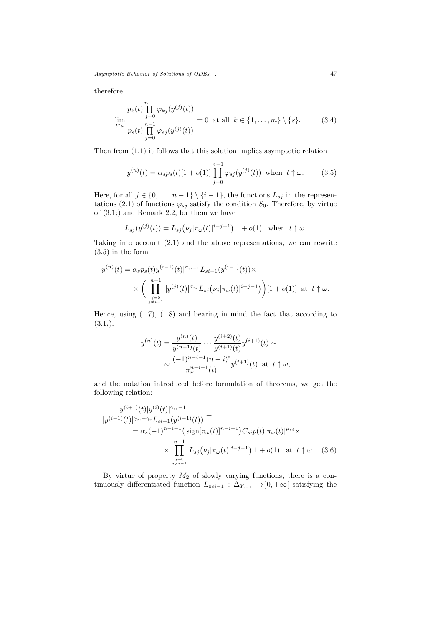therefore

$$
\lim_{t \uparrow \omega} \frac{p_k(t) \prod_{j=0}^{n-1} \varphi_{kj}(y^{(j)}(t))}{p_s(t) \prod_{j=0}^{n-1} \varphi_{sj}(y^{(j)}(t))} = 0 \text{ at all } k \in \{1, \dots, m\} \setminus \{s\}. \tag{3.4}
$$

Then from (1.1) it follows that this solution implies asymptotic relation

$$
y^{(n)}(t) = \alpha_s p_s(t) [1 + o(1)] \prod_{j=0}^{n-1} \varphi_{sj}(y^{(j)}(t)) \text{ when } t \uparrow \omega.
$$
 (3.5)

Here, for all  $j \in \{0, \ldots, n-1\} \setminus \{i-1\}$ , the functions  $L_{sj}$  in the representations (2.1) of functions  $\varphi_{sj}$  satisfy the condition  $S_0$ . Therefore, by virtue of  $(3.1<sub>i</sub>)$  and Remark 2.2, for them we have

$$
L_{sj}(y^{(j)}(t)) = L_{sj}(\nu_j|\pi_\omega(t)|^{i-j-1})[1+o(1)] \text{ when } t \uparrow \omega.
$$

Taking into account (2.1) and the above representations, we can rewrite (3.5) in the form

$$
y^{(n)}(t) = \alpha_s p_s(t) y^{(i-1)}(t) |^{\sigma_{si-1}} L_{si-1}(y^{(i-1)}(t)) \times
$$
  
\$\times \left( \prod\_{\substack{j=0 \ j \neq i-1}}^{n-1} |y^{(j)}(t)|^{\sigma\_{sj}} L\_{sj}(\nu\_j |\pi\_\omega(t)|^{i-j-1}) \right) [1+o(1)]\$ at  $t \uparrow \omega$ .

Hence, using (1.7), (1.8) and bearing in mind the fact that according to  $(3.1<sub>i</sub>)$ ,

$$
y^{(n)}(t) = \frac{y^{(n)}(t)}{y^{(n-1)}(t)} \cdots \frac{y^{(i+2)}(t)}{y^{(i+1)}(t)} y^{(i+1)}(t) \sim
$$

$$
\sim \frac{(-1)^{n-i-1}(n-i)!}{\pi_{\omega}^{n-i-1}(t)} y^{(i+1)}(t) \text{ at } t \uparrow \omega,
$$

and the notation introduced before formulation of theorems, we get the following relation:

$$
\frac{y^{(i+1)}(t)|y^{(i)}(t)|^{\gamma_{si}-1}}{|y^{(i-1)}(t)|^{\gamma_{si}-\gamma_{s}}L_{si-1}(y^{(i-1)}(t))} =
$$
\n
$$
= \alpha_{s}(-1)^{n-i-1} \left(\text{sign}[\pi_{\omega}(t)]^{n-i-1}\right) C_{si} p(t) |\pi_{\omega}(t)|^{\mu_{si}} \times
$$
\n
$$
\times \prod_{\substack{j=0 \ j \neq i-1}}^{n-1} L_{sj} \left(\nu_{j} |\pi_{\omega}(t)|^{i-j-1}\right) [1+o(1)] \text{ at } t \uparrow \omega. \quad (3.6)
$$

By virtue of property *M*<sup>2</sup> of slowly varying functions, there is a continuously differentiated function  $L_{0si-1}$  :  $\Delta_{Y_{i-1}} \to ]0, +\infty[$  satisfying the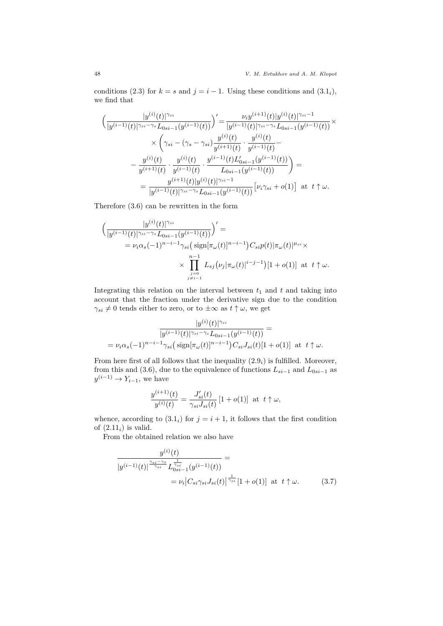conditions (2.3) for  $k = s$  and  $j = i - 1$ . Using these conditions and (3.1*i*), we find that

$$
\left(\frac{|y^{(i)}(t)|^{\gamma_{si}}}{|y^{(i-1)}(t)|^{\gamma_{si}-\gamma_{s}}L_{0si-1}(y^{(i-1)}(t))}\right)' = \frac{\nu_{i}y^{(i+1)}(t)|y^{(i)}(t)|^{\gamma_{si}-1}}{|y^{(i-1)}(t)|^{\gamma_{si}-\gamma_{s}}L_{0si-1}(y^{(i-1)}(t))} \times \\ \times \left(\gamma_{si} - (\gamma_{s} - \gamma_{si})\frac{y^{(i)}(t)}{y^{(i+1)}(t)} \cdot \frac{y^{(i)}(t)}{y^{(i-1)}(t)} - \\ - \frac{y^{(i)}(t)}{y^{(i+1)}(t)} \cdot \frac{y^{(i)}(t)}{y^{(i-1)}(t)} \cdot \frac{y^{(i-1)}(t)L'_{0si-1}(y^{(i-1)}(t))}{L_{0si-1}(y^{(i-1)}(t))}\right) = \\ = \frac{y^{(i+1)}(t)|y^{(i)}(t)|^{\gamma_{si}-1}}{|y^{(i-1)}(t)|^{\gamma_{si}-\gamma_{s}}L_{0si-1}(y^{(i-1)}(t))} \left[\nu_{i}\gamma_{si} + o(1)\right] \text{ at } t \uparrow \omega.
$$

Therefore (3.6) can be rewritten in the form

$$
\left(\frac{|y^{(i)}(t)|^{\gamma_{si}}}{|y^{(i-1)}(t)|^{\gamma_{si}-\gamma_{s}}L_{0si-1}(y^{(i-1)}(t))}\right)' =
$$
\n
$$
= \nu_{i}\alpha_{s}(-1)^{n-i-1}\gamma_{si}\left(\text{sign}[\pi_{\omega}(t)]^{n-i-1}\right)C_{si}p(t)|\pi_{\omega}(t)|^{\mu_{si}} \times
$$
\n
$$
\times \prod_{\substack{j=0 \ j \neq i-1}}^{n-1} L_{sj}\left(\nu_{j}|\pi_{\omega}(t)|^{i-j-1}\right)[1+o(1)] \text{ at } t \uparrow \omega.
$$

Integrating this relation on the interval between  $t_1$  and  $t$  and taking into account that the fraction under the derivative sign due to the condition  $\gamma_{si} \neq 0$  tends either to zero, or to  $\pm \infty$  as  $t \uparrow \omega$ , we get

$$
\frac{|y^{(i)}(t)|^{\gamma_{si}}}{|y^{(i-1)}(t)|^{\gamma_{si}-\gamma_{s}}L_{0si-1}(y^{(i-1)}(t))} =
$$
  
=  $\nu_i \alpha_s (-1)^{n-i-1} \gamma_{si} (\text{sign}[\pi_{\omega}(t)]^{n-i-1}) C_{si} J_{si}(t)[1+o(1)]$  at  $t \uparrow \omega$ .

From here first of all follows that the inequality (2.9*i*) is fulfilled. Moreover, from this and (3.6), due to the equivalence of functions  $L_{si-1}$  and  $L_{0si-1}$  as  $y^{(i-1)} \rightarrow Y_{i-1}$ , we have

$$
\frac{y^{(i+1)}(t)}{y^{(i)}(t)} = \frac{J'_{si}(t)}{\gamma_{si} J_{si}(t)} [1 + o(1)] \text{ at } t \uparrow \omega,
$$

whence, according to  $(3.1<sub>i</sub>)$  for  $j = i + 1$ , it follows that the first condition of (2.11*i*) is valid.

From the obtained relation we also have

$$
\frac{y^{(i)}(t)}{|y^{(i-1)}(t)|^{\frac{\gamma_{si}-\gamma_s}{\gamma_{si}}}L_{0si-1}^{\frac{1}{\gamma_{si}}}(y^{(i-1)}(t))} = \newline = \nu_i |C_{si}\gamma_{si}J_{si}(t)|^{\frac{1}{\gamma_{si}}} [1+o(1)] \text{ at } t \uparrow \omega.
$$
 (3.7)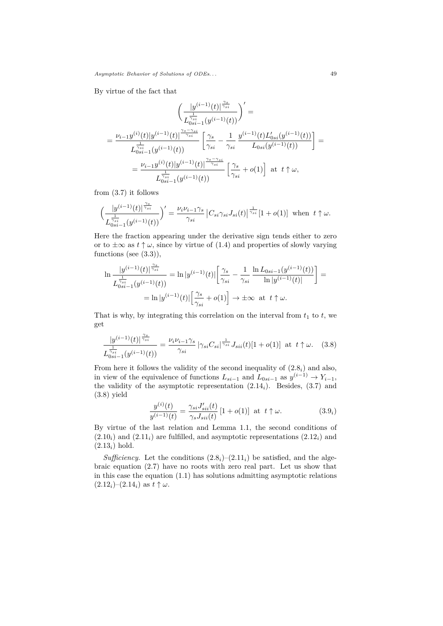By virtue of the fact that

$$
\left(\frac{|y^{(i-1)}(t)|^{\frac{\gamma_s}{\gamma_{si}}}}{L_{0si-1}^{\frac{1}{\gamma_{si}}} (y^{(i-1)}(t))}\right)' =
$$
\n
$$
= \frac{\nu_{i-1} y^{(i)}(t) |y^{(i-1)}(t)|^{\frac{\gamma_s}{\gamma_{si}}} }{L_{0si-1}^{\frac{1}{\gamma_{si}}} (y^{(i-1)}(t))} \left[\frac{\gamma_s}{\gamma_{si}} - \frac{1}{\gamma_{si}} \frac{y^{(i-1)}(t) L'_{0si} (y^{(i-1)}(t))}{L_{0si} (y^{(i-1)}(t))}\right] =
$$
\n
$$
= \frac{\nu_{i-1} y^{(i)}(t) |y^{(i-1)}(t)|^{\frac{\gamma_s - \gamma_{si}}{\gamma_{si}}} }{L_{0si-1}^{\frac{1}{\gamma_{si}}} (y^{(i-1)}(t))} \left[\frac{\gamma_s}{\gamma_{si}} + o(1)\right] \text{ at } t \uparrow \omega,
$$

from (3.7) it follows

$$
\Big(\frac{|y^{(i-1)}(t)|^{\frac{\gamma_s}{\gamma_{si}}}}{L_{0si-1}^{\frac{1}{\gamma_{si}}}(y^{(i-1)}(t))}\Big)'=\frac{\nu_i\nu_{i-1}\gamma_s}{\gamma_{si}}\left|C_{si}\gamma_{si}J_{si}(t)\right|^{\frac{1}{\gamma_{si}}}[1+o(1)]\ \ \text{when}\ \ t\uparrow\omega.
$$

Here the fraction appearing under the derivative sign tends either to zero or to  $\pm\infty$  as  $t\uparrow\omega$ , since by virtue of (1.4) and properties of slowly varying functions (see  $(3.3)$ ),

$$
\ln \frac{|y^{(i-1)}(t)|^{\frac{\gamma_s}{\gamma_{si}}}}{L_{0si-1}^{\frac{1}{\gamma_{si}}} (y^{(i-1)}(t))} = \ln |y^{(i-1)}(t)| \left[ \frac{\gamma_s}{\gamma_{si}} - \frac{1}{\gamma_{si}} \frac{\ln L_{0si-1}(y^{(i-1)}(t))}{\ln |y^{(i-1)}(t)|} \right] =
$$
  
=  $\ln |y^{(i-1)}(t)| \left[ \frac{\gamma_s}{\gamma_{si}} + o(1) \right] \to \pm \infty \text{ at } t \uparrow \omega.$ 

That is why, by integrating this correlation on the interval from  $t_1$  to  $t$ , we get

$$
\frac{|y^{(i-1)}(t)|^{\frac{\gamma_s}{\gamma_{si}}}}{L_{0si-1}^{\frac{1}{\gamma_{si}}} (y^{(i-1)}(t))} = \frac{\nu_i \nu_{i-1} \gamma_s}{\gamma_{si}} |\gamma_{si} C_{si}|^{\frac{1}{\gamma_{si}}} J_{sii}(t)[1+o(1)] \text{ at } t \uparrow \omega. \quad (3.8)
$$

From here it follows the validity of the second inequality of (2.8*i*) and also, in view of the equivalence of functions  $L_{si-1}$  and  $L_{0si-1}$  as  $y^{(i-1)} \to Y_{i-1}$ , the validity of the asymptotic representation  $(2.14<sub>i</sub>)$ . Besides,  $(3.7)$  and (3.8) yield

$$
\frac{y^{(i)}(t)}{y^{(i-1)}(t)} = \frac{\gamma_{si} J'_{sii}(t)}{\gamma_s J_{sii}(t)} [1 + o(1)] \text{ at } t \uparrow \omega.
$$
 (3.9<sub>i</sub>)

By virtue of the last relation and Lemma 1.1, the second conditions of  $(2.10<sub>i</sub>)$  and  $(2.11<sub>i</sub>)$  are fulfilled, and asymptotic representations  $(2.12<sub>i</sub>)$  and (2.13*i*) hold.

*Sufficiency.* Let the conditions  $(2.8<sub>i</sub>)-(2.11<sub>i</sub>)$  be satisfied, and the algebraic equation (2.7) have no roots with zero real part. Let us show that in this case the equation (1.1) has solutions admitting asymptotic relations  $(2.12_i)-(2.14_i)$  as  $t \uparrow \omega$ .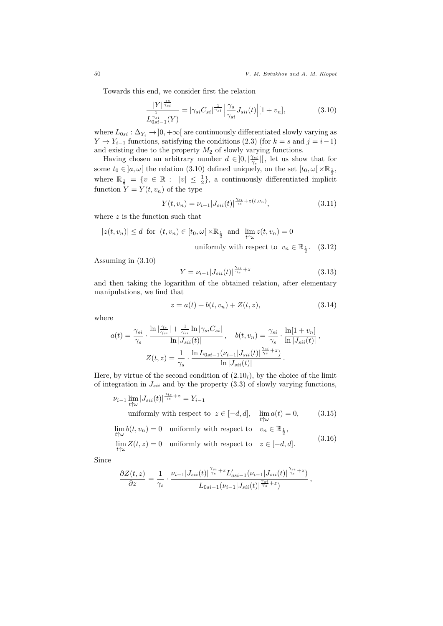Towards this end, we consider first the relation

$$
\frac{|Y|^{\frac{\gamma_s}{\gamma_{si}}}}{L_{0si-1}^{\frac{1}{\gamma_{si}}}(Y)} = |\gamma_{si}C_{si}|^{\frac{1}{\gamma_{si}}} |\frac{\gamma_s}{\gamma_{si}}J_{sii}(t)| [1 + v_n], \qquad (3.10)
$$

where  $L_{0si}: \Delta_{Y_i} \to ]0, +\infty[$  are continuously differentiated slowly varying as *Y* → *Y*<sub>*i*</sub>-1</sub> functions, satisfying the conditions (2.3) (for  $k = s$  and  $j = i - 1$ ) and existing due to the property *M*<sup>2</sup> of slowly varying functions.

Having chosen an arbitrary number  $d \in ]0, \left|\frac{\gamma_{si}}{\gamma_s}\right|$ , let us show that for some  $t_0 \in ]a, \omega[$  the relation (3.10) defined uniquely, on the set  $[t_0, \omega[ \times \mathbb{R}_{\frac{1}{2}},$ where  $\mathbb{R}_{\frac{1}{2}} = \{v \in \mathbb{R} : |v| \leq \frac{1}{2}\}$ , a continuously differentiated implicit function  $Y = Y(t, v_n)$  of the type

$$
Y(t, v_n) = \nu_{i-1} |J_{sii}(t)|^{\frac{\gamma_{si}}{\gamma_s} + z(t, v_n)}, \tag{3.11}
$$

where *z* is the function such that

$$
|z(t, v_n)| \le d
$$
 for  $(t, v_n) \in [t_0, \omega] \times \mathbb{R}_{\frac{1}{2}}$  and  $\lim_{t \uparrow \omega} z(t, v_n) = 0$ 

uniformly with respect to  $v_n \in \mathbb{R}_{\frac{1}{2}}$ . (3.12)

Assuming in (3.10)

$$
Y = \nu_{i-1} |J_{sii}(t)|^{\frac{\gamma_{si}}{\gamma_s} + z} \tag{3.13}
$$

and then taking the logarithm of the obtained relation, after elementary manipulations, we find that

$$
z = a(t) + b(t, v_n) + Z(t, z), \tag{3.14}
$$

where

$$
a(t) = \frac{\gamma_{si}}{\gamma_s} \cdot \frac{\ln|\frac{\gamma_s}{\gamma_{si}}| + \frac{1}{\gamma_{si}}\ln|\gamma_{si}C_{si}|}{\ln|J_{sii}(t)|}, \quad b(t, v_n) = \frac{\gamma_{si}}{\gamma_s} \cdot \frac{\ln[1 + v_n]}{\ln|J_{sii}(t)|},
$$

$$
Z(t, z) = \frac{1}{\gamma_s} \cdot \frac{\ln L_{0si-1}(\nu_{i-1}|J_{sii}(t)|^{\frac{\gamma_{si}}{\gamma_s} + z})}{\ln|J_{sii}(t)|}.
$$

Here, by virtue of the second condition of  $(2.10<sub>i</sub>)$ , by the choice of the limit of integration in  $J_{sii}$  and by the property  $(3.3)$  of slowly varying functions,

$$
\nu_{i-1} \lim_{t \uparrow \omega} |J_{sii}(t)|^{\frac{\gamma_{i s}}{\gamma_{s}}+z} = Y_{i-1}
$$
  
uniformly with respect to  $z \in [-d, d]$ ,  $\lim_{t \uparrow \omega} a(t) = 0$ , (3.15)  

$$
\lim_{t \uparrow \omega} b(t, v_n) = 0 \quad \text{uniformly with respect to} \quad v_n \in \mathbb{R}_{\frac{1}{2}},
$$

$$
\lim_{t \uparrow \omega} Z(t, z) = 0 \quad \text{uniformly with respect to} \quad z \in [-d, d]. \tag{3.16}
$$

Since

$$
\frac{\partial Z(t,z)}{\partial z}=\frac{1}{\gamma_s}\cdot\frac{\nu_{i-1}|J_{sii}(t)|^{\frac{\gamma_{si}}{\gamma_s}+z}L'_{osi-1}(\nu_{i-1}|J_{sii}(t)|^{\frac{\gamma_{si}}{\gamma_s}+z})}{L_{0si-1}(\nu_{i-1}|J_{sii}(t)|^{\frac{\gamma_{si}}{\gamma_s}+z})}\,,
$$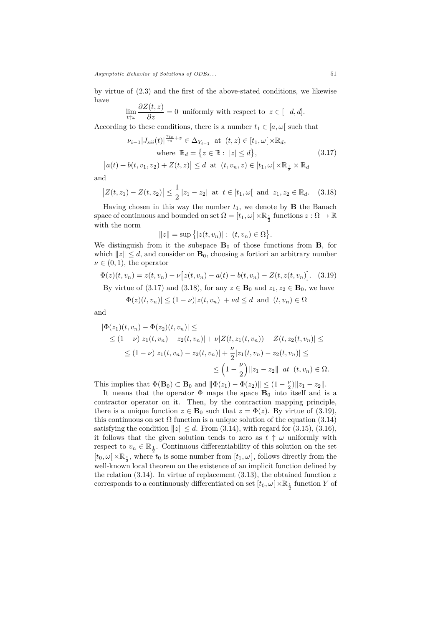by virtue of (2.3) and the first of the above-stated conditions, we likewise have

$$
\lim_{t \uparrow \omega} \frac{\partial Z(t, z)}{\partial z} = 0
$$
 uniformly with respect to  $z \in [-d, d]$ .

According to these conditions, there is a number  $t_1 \in [a, \omega]$  such that

$$
\nu_{i-1}|J_{sii}(t)|^{\frac{\gamma_{is}}{\gamma_s}+z} \in \Delta_{Y_{i-1}} \text{ at } (t,z) \in [t_1, \omega] \times \mathbb{R}_d,
$$
  
where  $\mathbb{R}_d = \{z \in \mathbb{R} : |z| \le d\},$  (3.17)

$$
|a(t) + b(t, v_1, v_2) + Z(t, z)| \le d
$$
 at  $(t, v_n, z) \in [t_1, \omega] \times \mathbb{R}_2 \times \mathbb{R}_d$ 

and

$$
\left| Z(t, z_1) - Z(t, z_2) \right| \le \frac{1}{2} \left| z_1 - z_2 \right| \text{ at } t \in [t_1, \omega[ \text{ and } z_1, z_2 \in \mathbb{R}_d. \quad (3.18)
$$

Having chosen in this way the number  $t_1$ , we denote by **B** the Banach space of continuous and bounded on set  $\Omega = [t_1, \omega] \times \mathbb{R}_{\frac{1}{2}}$  functions  $z : \Omega \to \mathbb{R}$ with the norm

$$
||z|| = \sup \{|z(t, v_n)| : (t, v_n) \in \Omega\}.
$$

We distinguish from it the subspace  $B_0$  of those functions from **B**, for which  $||z|| \leq d$ , and consider on **B**<sub>0</sub>, choosing a fortiori an arbitrary number  $\nu \in (0,1)$ , the operator

$$
\Phi(z)(t, v_n) = z(t, v_n) - \nu [z(t, v_n) - a(t) - b(t, v_n) - Z(t, z(t, v_n)]. \quad (3.19)
$$

By virtue of (3.17) and (3.18), for any  $z \in \mathbf{B}_0$  and  $z_1, z_2 \in \mathbf{B}_0$ , we have

$$
|\Phi(z)(t, v_n)| \le (1 - \nu)|z(t, v_n)| + \nu d \le d \text{ and } (t, v_n) \in \Omega
$$

and

$$
|\Phi(z_1)(t, v_n) - \Phi(z_2)(t, v_n)| \le
$$
  
\n
$$
\le (1 - \nu)|z_1(t, v_n) - z_2(t, v_n)| + \nu|Z(t, z_1(t, v_n)) - Z(t, z_2(t, v_n)|) \le
$$
  
\n
$$
\le (1 - \nu)|z_1(t, v_n) - z_2(t, v_n)| + \frac{\nu}{2}|z_1(t, v_n) - z_2(t, v_n)| \le
$$
  
\n
$$
\le (1 - \frac{\nu}{2})||z_1 - z_2|| \text{ at } (t, v_n) \in \Omega.
$$

This implies that  $\Phi(\mathbf{B}_0) \subset \mathbf{B}_0$  and  $\|\Phi(z_1) - \Phi(z_2)\| \leq (1 - \frac{\nu}{2}) \|z_1 - z_2\|$ .

It means that the operator  $\Phi$  maps the space  $\mathbf{B}_0$  into itself and is a contractor operator on it. Then, by the contraction mapping principle, there is a unique function  $z \in \mathbf{B}_0$  such that  $z = \Phi(z)$ . By virtue of (3.19), this continuous on set  $\Omega$  function is a unique solution of the equation (3.14) satisfying the condition  $||z|| \leq d$ . From (3.14), with regard for (3.15), (3.16), it follows that the given solution tends to zero as  $t \uparrow \omega$  uniformly with respect to  $v_n \in \mathbb{R}_{\frac{1}{2}}$ . Continuous differentiability of this solution on the set  $[t_0, \omega] \times \mathbb{R}_+$ , where  $t_0$  is some number from  $[t_1, \omega]$ , follows directly from the well-known local theorem on the existence of an implicit function defined by the relation (3.14). In virtue of replacement (3.13), the obtained function *z* corresponds to a continuously differentiated on set  $[t_0, \omega] \times \mathbb{R}_{\frac{1}{2}}$  function  $Y$  of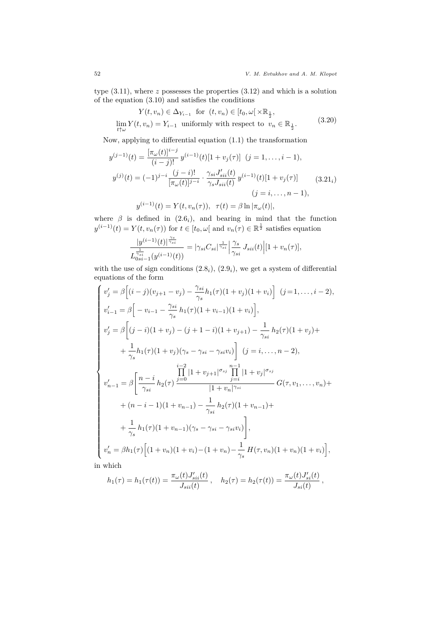type (3.11), where *z* possesses the properties (3.12) and which is a solution of the equation (3.10) and satisfies the conditions

$$
Y(t, v_n) \in \Delta_{Y_{i-1}} \text{ for } (t, v_n) \in [t_0, \omega] \times \mathbb{R}_{\frac{1}{2}},
$$
  

$$
\lim_{t \uparrow \omega} Y(t, v_n) = Y_{i-1} \text{ uniformly with respect to } v_n \in \mathbb{R}_{\frac{1}{2}}.
$$
 (3.20)

Now, applying to differential equation (1.1) the transformation

$$
y^{(j-1)}(t) = \frac{[\pi_{\omega}(t)]^{i-j}}{(i-j)!} y^{(i-1)}(t) [1 + v_j(\tau)] \quad (j = 1, ..., i-1),
$$
  

$$
y^{(j)}(t) = (-1)^{j-i} \frac{(j-i)!}{[\pi_{\omega}(t)]^{j-i}} \cdot \frac{\gamma_{si} J'_{sii}(t)}{\gamma_s J_{sii}(t)} y^{(i-1)}(t) [1 + v_j(\tau)] \qquad (3.21_i)
$$
  

$$
(j = i, ..., n-1),
$$
  

$$
y^{(i-1)}(t) = Y(t, v_n(\tau)), \quad \tau(t) = \beta \ln |\pi_{\omega}(t)|,
$$

where  $\beta$  is defined in  $(2.6<sub>i</sub>)$ , and bearing in mind that the function  $y^{(i-1)}(t) = Y(t, v_n(\tau))$  for  $t \in [t_0, \omega[$  and  $v_n(\tau) \in \mathbb{R}^{\frac{1}{2}}$  satisfies equation

$$
\frac{|y^{(i-1)}(t)|^{\frac{\gamma_s}{\gamma_{si}}}}{L_{0si-1}^{\frac{1}{\gamma_{si}}} (y^{(i-1)}(t))} = |\gamma_{si} C_{si}|^{\frac{1}{\gamma_{si}}} \left| \frac{\gamma_s}{\gamma_{si}} J_{sii}(t) \right| [1 + v_n(\tau)],
$$

with the use of sign conditions  $(2.8<sub>i</sub>)$ ,  $(2.9<sub>i</sub>)$ , we get a system of differential equations of the form

$$
\begin{cases}\nv'_{j} = \beta \Big[ (i-j)(v_{j+1} - v_{j}) - \frac{\gamma_{si}}{\gamma_{s}} h_{1}(\tau)(1 + v_{j})(1 + v_{i}) \Big] \quad (j = 1, ..., i-2), \\
v'_{i-1} = \beta \Big[ -v_{i-1} - \frac{\gamma_{si}}{\gamma_{s}} h_{1}(\tau)(1 + v_{i-1})(1 + v_{i}) \Big], \\
v'_{j} = \beta \Big[ (j-i)(1 + v_{j}) - (j+1-i)(1 + v_{j+1}) - \frac{1}{\gamma_{si}} h_{2}(\tau)(1 + v_{j}) + \\
+ \frac{1}{\gamma_{s}} h_{1}(\tau)(1 + v_{j})(\gamma_{s} - \gamma_{si} - \gamma_{si}v_{i}) \Big] \quad (j = i, ..., n-2), \\
v'_{n-1} = \beta \Big[ \frac{n-i}{\gamma_{si}} h_{2}(\tau) \frac{\prod_{j=0}^{i-2} |1 + v_{j+1}|^{\sigma_{sj}} \prod_{j=i}^{n-1} |1 + v_{j}|^{\sigma_{sj}}}{|1 + v_{n}|^{\gamma_{si}}} G(\tau, v_{1}, ..., v_{n}) + \\
+ (n - i - 1)(1 + v_{n-1}) - \frac{1}{\gamma_{si}} h_{2}(\tau)(1 + v_{n-1}) + \\
+ \frac{1}{\gamma_{s}} h_{1}(\tau)(1 + v_{n-1})(\gamma_{s} - \gamma_{si} - \gamma_{si}v_{i}) \Big], \\
v'_{n} = \beta h_{1}(\tau) \Big[ (1 + v_{n})(1 + v_{i}) - (1 + v_{n}) - \frac{1}{\gamma_{s}} H(\tau, v_{n})(1 + v_{n})(1 + v_{i}) \Big],\n\end{cases}
$$

in which

$$
h_1(\tau) = h_1(\tau(t)) = \frac{\pi_{\omega}(t)J'_{sii}(t)}{J_{sii}(t)}, \quad h_2(\tau) = h_2(\tau(t)) = \frac{\pi_{\omega}(t)J'_{sii}(t)}{J_{sii}(t)},
$$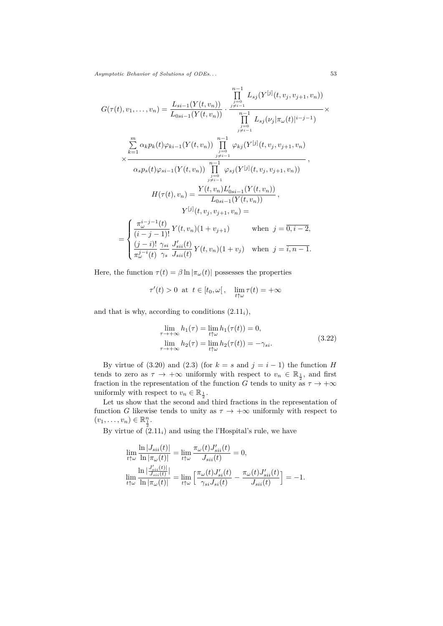$$
G(\tau(t), v_1, \ldots, v_n) = \frac{L_{si-1}(Y(t, v_n))}{L_{0si-1}(Y(t, v_n))} \cdot \frac{\prod_{j=0}^{n-1} L_{sj}(Y^{[j]}(t, v_j, v_{j+1}, v_n))}{\prod_{j=0}^{n-1} L_{sj}(\nu_j|\pi_{\omega}(t)|^{i-j-1})} \times \frac{\prod_{j=0}^{m} L_{sj}(\nu_j|\pi_{\omega}(t)|^{i-j-1})}{\prod_{j=0}^{m} \varphi_{kj}(Y^{[j]}(t, v_j, v_{j+1}, v_n))} \times \frac{\prod_{j=0}^{m} \varphi_{kj}(Y^{[j]}(t, v_j, v_{j+1}, v_n))}{\alpha_s p_s(t)\varphi_{si-1}(Y(t, v_n))} \frac{\prod_{j=0}^{n-1} \varphi_{sj}(Y^{[j]}(t, v_j, v_{j+1}, v_n))}{L_{0si-1}(Y(t, v_n))},
$$
\n
$$
H(\tau(t), v_n) = \frac{Y(t, v_n)L'_{0si-1}(Y(t, v_n))}{L_{0si-1}(Y(t, v_n))},
$$
\n
$$
Y^{[j]}(t, v_j, v_{j+1}, v_n) = \frac{\tau_{i,j} - \tau_{i,j}}{(\tau_{i,j} - \tau_{i})!} Y(t, v_n)(1 + v_{j+1}) \quad \text{when } j = \overline{0, i - 2},
$$
\n
$$
\frac{\tau_{i,j} - \tau_{i,j}}{\tau_{i,j} - \tau_{i}} \frac{\tau_{si}}{\tau_{si} - \tau_{si}} Y(t, v_n)(1 + v_j) \quad \text{when } j = \overline{i, n - 1}.
$$

Here, the function  $\tau(t) = \beta \ln |\pi_{\omega}(t)|$  possesses the properties

$$
\tau'(t) > 0 \text{ at } t \in [t_0, \omega[, \quad \lim_{t \uparrow \omega} \tau(t) = +\infty
$$

and that is why, according to conditions  $(2.11<sub>i</sub>)$ ,

$$
\lim_{\tau \to +\infty} h_1(\tau) = \lim_{t \uparrow \omega} h_1(\tau(t)) = 0,
$$
\n
$$
\lim_{\tau \to +\infty} h_2(\tau) = \lim_{t \uparrow \omega} h_2(\tau(t)) = -\gamma_{si}.
$$
\n(3.22)

By virtue of  $(3.20)$  and  $(2.3)$  (for  $k = s$  and  $j = i - 1$ ) the function *H* tends to zero as  $\tau \to +\infty$  uniformly with respect to  $v_n \in \mathbb{R}_{\frac{1}{2}}$ , and first fraction in the representation of the function *G* tends to unity as  $\tau \to +\infty$ uniformly with respect to  $v_n \in \mathbb{R}_{\frac{1}{2}}$ .

Let us show that the second and third fractions in the representation of function *G* likewise tends to unity as  $\tau \to +\infty$  uniformly with respect to  $(v_1, \ldots, v_n) \in \mathbb{R}^n_{\frac{1}{2}}.$ 

By virtue of  $(2.11<sub>i</sub>)$  and using the l'Hospital's rule, we have

$$
\begin{aligned} &\lim_{t\uparrow\omega}\frac{\ln|J_{sii}(t)|}{\ln|\pi_{\omega}(t)|}=\lim_{t\uparrow\omega}\frac{\pi_{\omega}(t)J_{sii}'(t)}{J_{sii}(t)}=0,\\ &\lim_{t\uparrow\omega}\frac{\ln|\frac{J_{sii}'(t)|}{J_{sii}(t)}|}{\ln|\pi_{\omega}(t)|}=\lim_{t\uparrow\omega}\Big[\frac{\pi_{\omega}(t)J_{si}'(t)}{\gamma_{si}J_{si}(t)}-\frac{\pi_{\omega}(t)J_{sii}'(t)}{J_{sii}(t)}\Big]=-1. \end{aligned}
$$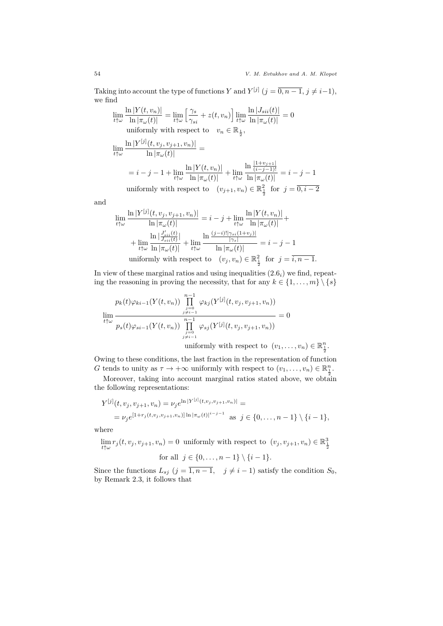Taking into account the type of functions *Y* and  $Y^{[j]}$   $(j = \overline{0, n-1}, j \neq i-1)$ , we find

$$
\lim_{t \uparrow \omega} \frac{\ln |Y(t, v_n)|}{\ln |\pi_{\omega}(t)|} = \lim_{t \uparrow \omega} \left[ \frac{\gamma_s}{\gamma_{si}} + z(t, v_n) \right] \lim_{t \uparrow \omega} \frac{\ln |J_{sii}(t)|}{\ln |\pi_{\omega}(t)|} = 0
$$
\nuniformly with respect to

\n
$$
v_n \in \mathbb{R}_{\frac{1}{2}},
$$
\n
$$
\lim_{t \uparrow \omega} \frac{\ln |Y^{[j]}(t, v_j, v_{j+1}, v_n)|}{\ln |\pi_{\omega}(t)|} =
$$
\n
$$
= i - j - 1 + \lim_{t \uparrow \omega} \frac{\ln |Y(t, v_n)|}{\ln |\pi_{\omega}(t)|} + \lim_{t \uparrow \omega} \frac{\ln \frac{|1 + v_{j+1}|}{(i - j - 1)!}}{\ln |\pi_{\omega}(t)|} = i - j - 1
$$
\nuniformly with respect to

\n
$$
(v_{j+1}, v_n) \in \mathbb{R}_{\frac{1}{2}}^2 \text{ for } j = 0, i - 2
$$

and

$$
\lim_{t \uparrow \omega} \frac{\ln |Y^{[j]}(t, v_j, v_{j+1}, v_n)|}{\ln |\pi_{\omega}(t)|} = i - j + \lim_{t \uparrow \omega} \frac{\ln |Y(t, v_n)|}{\ln |\pi_{\omega}(t)|} + \lim_{t \uparrow \omega} \frac{\ln |\frac{J'_{sii}(t)}{J_{sii}(t)}|}{\ln |\pi_{\omega}(t)|} + \lim_{t \uparrow \omega} \frac{\ln \frac{(j-i)! |\gamma_{si}(1+v_j)|}{|\gamma_s|}}{\ln |\pi_{\omega}(t)|} = i - j - 1
$$
\nuniformly with respect to  $(v_j, v_n) \in \mathbb{R}^2_{\frac{1}{2}}$  for  $j = i, n - 1$ .

In view of these marginal ratios and using inequalities  $(2.6<sub>i</sub>)$  we find, repeating the reasoning in proving the necessity, that for any  $k \in \{1, \ldots, m\} \setminus \{s\}$ 

$$
p_k(t)\varphi_{ki-1}(Y(t, v_n))\prod_{\substack{j=0 \ j \neq i-1}}^{n-1} \varphi_{kj}(Y^{[j]}(t, v_j, v_{j+1}, v_n))
$$
  
\n
$$
\lim_{t \uparrow \omega} \frac{1}{p_s(t)\varphi_{si-1}(Y(t, v_n))\prod_{\substack{j=0 \ j \neq i-1}}^{n-1} \varphi_{sj}(Y^{[j]}(t, v_j, v_{j+1}, v_n))} = 0
$$
  
\nuniformly with respect to  $(v_1, \ldots, v_n) \in \mathbb{R}^n_{\frac{1}{2}}$ .

Owing to these conditions, the last fraction in the representation of function *G* tends to unity as  $\tau \to +\infty$  uniformly with respect to  $(v_1, \ldots, v_n) \in \mathbb{R}^n_{\frac{1}{2}}$ .

Moreover, taking into account marginal ratios stated above, we obtain the following representations:

$$
Y^{[j]}(t, v_j, v_{j+1}, v_n) = \nu_j e^{\ln|Y^{[j]}(t, v_j, v_{j+1}, v_n)|} =
$$
  
=  $\nu_j e^{[1+r_j(t, v_j, v_{j+1}, v_n)] \ln |\pi_\omega(t)|^{i-j-1}}$  as  $j \in \{0, ..., n-1\} \setminus \{i-1\},$ 

where

 $\lim_{t \uparrow \omega} r_j(t, v_j, v_{j+1}, v_n) = 0$  uniformly with respect to  $(v_j, v_{j+1}, v_n) \in \mathbb{R}^3_{\frac{1}{2}}$ *t↑ω* for all  $j \in \{0, ..., n-1\} \setminus \{i-1\}$ .

Since the functions  $L_{sj}$  ( $j = \overline{1, n-1}$ ,  $j \neq i-1$ ) satisfy the condition  $S_0$ , by Remark 2.3, it follows that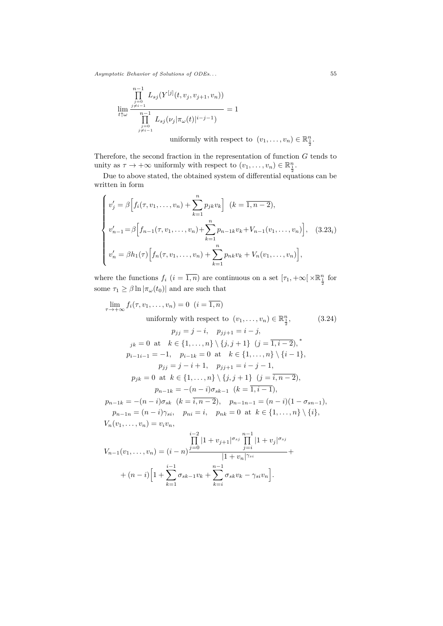$$
\lim_{\substack{j=0 \ j\neq i-1}}^{n-1} L_{sj}(Y^{[j]}(t, v_j, v_{j+1}, v_n))
$$
\n
$$
\lim_{\substack{j=0 \ j\neq i-1}} \frac{L_{sj}(\nu_j|\pi_\omega(t)|^{i-j-1})}{L_{sj}(\nu_j|\pi_\omega(t)|^{i-j-1})} = 1
$$
\nuniformly with respect to  $(v_1, \ldots, v_n) \in \mathbb{R}^n_{\frac{1}{2}}$ .

Therefore, the second fraction in the representation of function *G* tends to unity as  $\tau \to +\infty$  uniformly with respect to  $(v_1, \ldots, v_n) \in \mathbb{R}_+^n$ .

Due to above stated, the obtained system of differential equations can be written in form

$$
\begin{cases}\nv'_j = \beta \Big[ f_i(\tau, v_1, \dots, v_n) + \sum_{k=1}^n p_{jk} v_k \Big] & (k = \overline{1, n-2}), \\
v'_{n-1} = \beta \Big[ f_{n-1}(\tau, v_1, \dots, v_n) + \sum_{k=1}^n p_{n-1k} v_k + V_{n-1}(v_1, \dots, v_n) \Big], \quad (3.23_i) \\
v'_n = \beta h_1(\tau) \Big[ f_n(\tau, v_1, \dots, v_n) + \sum_{k=1}^n p_{nk} v_k + V_n(v_1, \dots, v_n) \Big],\n\end{cases}
$$

where the functions  $f_i$  ( $i = \overline{1, n}$ ) are continuous on a set  $[\tau_1, +\infty[ \times \mathbb{R}^n_{\frac{1}{2}}]$  for some  $\tau_1 \ge \beta \ln |\pi_\omega(t_0)|$  and are such that

$$
\lim_{\tau \to +\infty} f_i(\tau, v_1, \dots, v_n) = 0 \quad (i = \overline{1, n})
$$
\nuniformly with respect to  $(v_1, \dots, v_n) \in \mathbb{R}^n_{\frac{1}{2}},$  (3.24)  
\n
$$
p_{jj} = j - i, \quad p_{jj+1} = i - j,
$$
\n
$$
j_k = 0 \text{ at } k \in \{1, \dots, n\} \setminus \{j, j+1\} \quad (j = \overline{1, i-2}),^*
$$
\n
$$
p_{i-1 i-1} = -1, \quad p_{i-1 k} = 0 \text{ at } k \in \{1, \dots, n\} \setminus \{i-1\},
$$
\n
$$
p_{j j} = j - i + 1, \quad p_{j j+1} = i - j - 1,
$$
\n
$$
p_{j k} = 0 \text{ at } k \in \{1, \dots, n\} \setminus \{j, j+1\} \quad (j = \overline{i, n-2}),
$$
\n
$$
p_{n-1 k} = -(n - i)\sigma_{s k} \quad (k = \overline{i, n-2}), \quad p_{n-1 n-1} = (n - i)(1 - \sigma_{s n-1}),
$$
\n
$$
p_{n-1 n} = (n - i)\gamma_{s i}, \quad p_{n i} = i, \quad p_{n k} = 0 \text{ at } k \in \{1, \dots, n\} \setminus \{i\},
$$
\n
$$
V_n(v_1, \dots, v_n) = v_i v_n,
$$
\n
$$
\prod_{j=0}^{i-2} |1 + v_{j+1}|^{\sigma_{s j}} \prod_{j=i}^{n-1} |1 + v_j|^{\sigma_{s j}}
$$
\n
$$
V_{n-1}(v_1, \dots, v_n) = (i - n) \frac{j=0}{n-1} \frac{1}{n-1} \frac{1}{n-1} \frac{1}{n-1} \frac{1}{n-1} \frac{1}{n-1} \frac{1}{n-1} \frac{1}{n-1} \frac{1}{n-1} \frac{1}{n-1} \frac{1}{n-1} \frac{1}{n-1} \frac{1}{n-1} \frac{1}{n-1} \frac{1}{n-1} \frac{1}{n-1} \frac{1}{n-
$$

$$
V_{n-1}(v_1, \ldots, v_n) = (i - n)^{\underbrace{\sum_{j=0}^{i-1} (-1)^{j+1} \sum_{j=i}^{i-1} (-1)^{j+1} \sum_{j=i}^{i-1} (-1)^{j+1} \sum_{j=i}^{-1} (-1)^{j+1} \sum_{j=i}^{-1} (-1)^{j+1} \sum_{j=i}^{-1} (-1)^{j+1} \sum_{j=i}^{-1} (-1)^{j+1} \sum_{j=i}^{-1} (-1)^{j+1} \sum_{j=i}^{-1} (-1)^{j+1} \sum_{j=i}^{-1} (-1)^{j+1} \sum_{j=i}^{-1} (-1)^{j+1} \sum_{j=i}^{-1} (-1)^{j+1} \sum_{j=i}^{-1} (-1)^{j+1} \sum_{j=i}^{-1} (-1)^{j+1} \sum_{j=i}^{-1} (-1)^{j+1} \sum_{j=i}^{-1} (-1)^{j+1} \sum_{j=i}^{-1} (-1)^{j+1} \sum_{j=i}^{-1} (-1)^{j+1} \sum_{j=i}^{-1} (-1)^{j+1} \sum_{j=i}^{-1} (-1)^{j+1} \sum_{j=i}^{-1} (-1)^{j+1} \sum_{j=i}^{-1} (-1)^{j+1} \sum_{j=i}^{-1} (-1)^{j+1} \sum_{j=i}^{-1} (-1)^{j+1} \sum_{j=i}^{-1} (-1)^{j+1} \sum_{j=i}^{-1} (-1)^{j+1} \sum_{j=i}^{-1} (-1)^{j+1} \sum_{j=i}^{-1} (-1)^{j+1} \sum_{j=i}^{-1} (-1)^{j+1} \sum_{j=i}^{-1} (-1)^{j+1} \sum_{j=i}^{-1} (-1)^{j+1} \sum_{j=i}^{-1} (-1)^{j+1} \sum_{j=i}^{-1} (-1)^{j+1} \sum_{j=i}^{-1} (-1)^{j+1} \sum_{j=i}^{-1} (-1)^{j+1} \sum_{j=i}^{-1} (-1)^{j+1} \sum_{j=i}^{-1} (-1)^{j+1} \sum_{j=i}^{-1} (-1)^{j+1} \sum_{j=i}^{-1} (-1)^{j+1} \sum_{j=i}^{-1} (-1)^{j+1} \sum_{j=i}^{-1} (-1)^{j+1} \sum_{j=i}^{-1} (-1)^{j+1} \sum_{j=i}^{-1} (-1)^
$$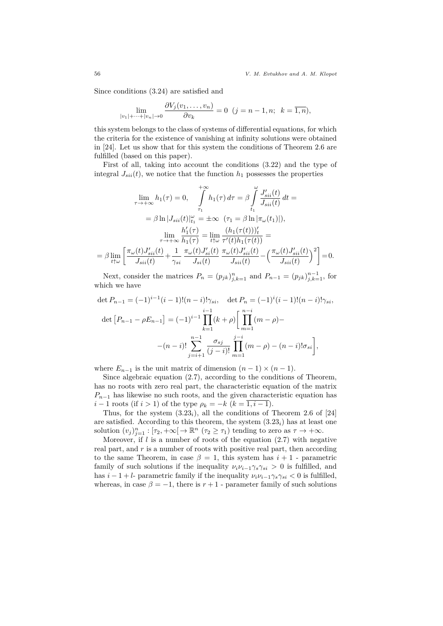56 *V. M. Evtukhov and A. M. Klopot*

Since conditions (3.24) are satisfied and

$$
\lim_{|v_1| + \dots + |v_n| \to 0} \frac{\partial V_j(v_1, \dots, v_n)}{\partial v_k} = 0 \ \ (j = n - 1, n; \ \ k = \overline{1, n}),
$$

this system belongs to the class of systems of differential equations, for which the criteria for the existence of vanishing at infinity solutions were obtained in [24]. Let us show that for this system the conditions of Theorem 2.6 are fulfilled (based on this paper).

First of all, taking into account the conditions (3.22) and the type of integral  $J_{sii}(t)$ , we notice that the function  $h_1$  possesses the properties

$$
\lim_{\tau \to +\infty} h_1(\tau) = 0, \quad \int_{\tau_1}^{+\infty} h_1(\tau) d\tau = \beta \int_{t_1}^{\omega} \frac{J'_{sii}(t)}{J_{sii}(t)} dt =
$$
\n
$$
= \beta \ln |J_{sii}(t)|_{t_1}^{\omega} = \pm \infty \quad (\tau_1 = \beta \ln |\pi_{\omega}(t_1)|),
$$
\n
$$
\lim_{\tau \to +\infty} \frac{h'_1(\tau)}{h_1(\tau)} = \lim_{t \uparrow \omega} \frac{(h_1(\tau(t)))_t'}{\tau'(t)h_1(\tau(t))} =
$$
\n
$$
= \beta \lim_{t \uparrow \omega} \left[ \frac{\pi_{\omega}(t)J'_{sii}(t)}{J_{sii}(t)} + \frac{1}{\gamma_{si}} \frac{\pi_{\omega}(t)J'_{sii}(t)}{J_{sii}(t)} \frac{\pi_{\omega}(t)J'_{sii}(t)}{J_{sii}(t)} - \left(\frac{\pi_{\omega}(t)J'_{sii}(t)}{J_{sii}(t)}\right)^2 \right] = 0.
$$

Next, consider the matrices  $P_n = (p_{jk})_{j,k=1}^n$  and  $P_{n-1} = (p_{jk})_{j,k=1}^{n-1}$ , for which we have

$$
\det P_{n-1} = (-1)^{i-1} (i-1)!(n-i)! \gamma_{si}, \quad \det P_n = (-1)^i (i-1)!(n-i)! \gamma_{si},
$$
  

$$
\det [P_{n-1} - \rho E_{n-1}] = (-1)^{i-1} \prod_{k=1}^{i-1} (k+\rho) \Big[ \prod_{m=1}^{n-i} (m-\rho) -
$$

$$
-(n-i)! \sum_{j=i+1}^{n-1} \frac{\sigma_{sj}}{(j-i)!} \prod_{m=1}^{j-i} (m-\rho) - (n-i)! \sigma_{si} \Big],
$$

where  $E_{n-1}$  is the unit matrix of dimension  $(n-1) \times (n-1)$ .

Since algebraic equation (2.7), according to the conditions of Theorem, has no roots with zero real part, the characteristic equation of the matrix  $P_{n-1}$  has likewise no such roots, and the given characteristic equation has  $i - 1$  roots (if  $i > 1$ ) of the type  $\rho_k = -k$  ( $k = \overline{1, i - 1}$ ).

Thus, for the system  $(3.23<sub>i</sub>)$ , all the conditions of Theorem 2.6 of [24] are satisfied. According to this theorem, the system  $(3.23<sub>i</sub>)$  has at least one solution  $(v_j)_{j=1}^n : [\tau_2, +\infty[ \to \mathbb{R}^n \ (\tau_2 \geq \tau_1) \ \text{tending to zero as } \tau \to +\infty.$ 

Moreover, if *l* is a number of roots of the equation (2.7) with negative real part, and *r* is a number of roots with positive real part, then according to the same Theorem, in case  $\beta = 1$ , this system has  $i + 1$  - parametric family of such solutions if the inequality  $\nu_i \nu_{i-1} \gamma_s \gamma_{si} > 0$  is fulfilled, and has  $i - 1 + l$ - parametric family if the inequality  $\nu_i \nu_{i-1} \gamma_s \gamma_{si} < 0$  is fulfilled, whereas, in case  $\beta = -1$ , there is  $r + 1$  - parameter family of such solutions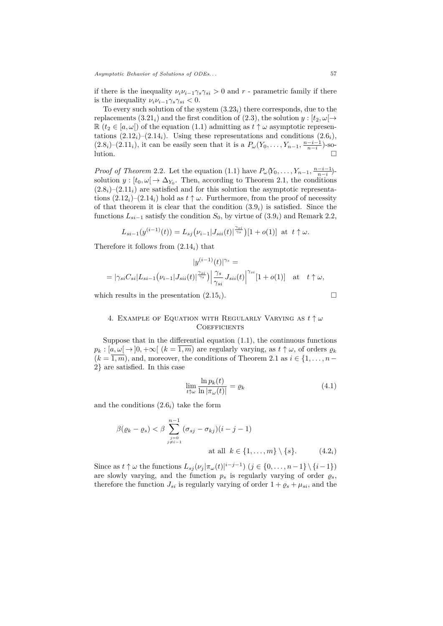if there is the inequality  $\nu_i \nu_{i-1} \gamma_s \gamma_{si} > 0$  and  $r$  - parametric family if there is the inequality  $\nu_i \nu_{i-1} \gamma_s \gamma_{si} < 0$ .

To every such solution of the system  $(3.23<sub>i</sub>)$  there corresponds, due to the replacements  $(3.21<sub>i</sub>)$  and the first condition of  $(2.3)$ , the solution  $y: [t_2, \omega] \rightarrow$  $\mathbb{R}$  ( $t_2 \in [a, \omega]$ ) of the equation (1.1) admitting as  $t \uparrow \omega$  asymptotic representations  $(2.12<sub>i</sub>)-(2.14<sub>i</sub>)$ . Using these representations and conditions  $(2.6<sub>i</sub>)$ , (2.8*i*)–(2.11*i*), it can be easily seen that it is a  $P_{\omega}(Y_0, \ldots, Y_{n-1}, \frac{n-i-1}{n-i})$ -so- $\Box$ lution.

*Proof of Theorem* 2.2*.* Let the equation (1.1) have  $P_{\omega}(Y_0, \ldots, Y_{n-1}, \frac{n-i-1}{n-i})$ solution  $y : [t_0, \omega] \to \Delta_{Y_0}$ . Then, according to Theorem 2.1, the conditions  $(2.8<sub>i</sub>)-(2.11<sub>i</sub>)$  are satisfied and for this solution the asymptotic representations  $(2.12<sub>i</sub>)-(2.14<sub>i</sub>)$  hold as  $t \uparrow \omega$ . Furthermore, from the proof of necessity of that theorem it is clear that the condition  $(3.9<sub>i</sub>)$  is satisfied. Since the functions  $L_{si-1}$  satisfy the condition  $S_0$ , by virtue of  $(3.9<sub>i</sub>)$  and Remark 2.2,

$$
L_{si-1}(y^{(i-1)}(t)) = L_{sj}(\nu_{i-1}|J_{sii}(t)|^{\frac{\gamma_{si}}{\gamma_s}})[1+o(1)] \text{ at } t \uparrow \omega.
$$

Therefore it follows from (2.14*i*) that

$$
|y^{(i-1)}(t)|^{\gamma_s} =
$$
  
=  $|\gamma_{si}C_{si}|L_{si-1}(\nu_{i-1}|J_{sii}(t)|^{\gamma_{si}\over \gamma_s})\left|\frac{\gamma_s}{\gamma_{si}}J_{sii}(t)\right|^{\gamma_{si}}[1+o(1)]$  at  $t \uparrow \omega$ ,

which results in the presentation  $(2.15<sub>i</sub>)$ .

4. EXAMPLE OF EQUATION WITH REGULARLY VARYING AS  $t \uparrow \omega$ **COEFFICIENTS** 

Suppose that in the differential equation  $(1.1)$ , the continuous functions  $p_k : [a, \omega] \to [0, +\infty[$   $(k = \overline{1, m})$  are regularly varying, as  $t \uparrow \omega$ , of orders  $\varrho_k$  $(k = \overline{1, m})$ , and, moreover, the conditions of Theorem 2.1 as  $i \in \{1, \ldots, n - 1\}$ 2*}* are satisfied. In this case

$$
\lim_{t \uparrow \omega} \frac{\ln p_k(t)}{\ln |\pi_{\omega}(t)|} = \varrho_k \tag{4.1}
$$

and the conditions (2.6*i*) take the form

$$
\beta(\varrho_k - \varrho_s) < \beta \sum_{\substack{j=0 \ j \neq i-1}}^{n-1} (\sigma_{sj} - \sigma_{kj})(i-j-1)
$$
\nat all  $k \in \{1, \dots, m\} \setminus \{s\}.$ \n
$$
(4.2i)
$$

Since as  $t \uparrow \omega$  the functions  $L_{sj}(\nu_j|\pi_\omega(t)|^{i-j-1})$   $(j \in \{0, \ldots, n-1\} \setminus \{i-1\})$ are slowly varying, and the function  $p_s$  is regularly varying of order  $\rho_s$ , therefore the function  $J_{si}$  is regularly varying of order  $1 + \rho_s + \mu_{si}$ , and the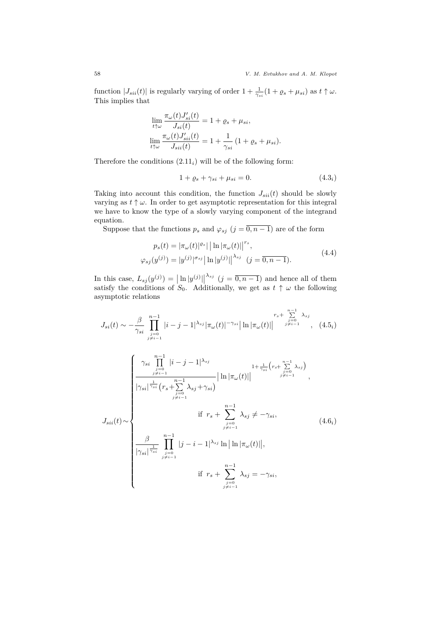function  $|J_{sii}(t)|$  is regularly varying of order  $1 + \frac{1}{\gamma_{si}}(1 + \varrho_s + \mu_{si})$  as  $t \uparrow \omega$ . This implies that

$$
\lim_{t \uparrow \omega} \frac{\pi_{\omega}(t) J'_{si}(t)}{J_{si}(t)} = 1 + \varrho_s + \mu_{si},
$$
  

$$
\lim_{t \uparrow \omega} \frac{\pi_{\omega}(t) J'_{si}(t)}{J_{si}(t)} = 1 + \frac{1}{\gamma_{si}} (1 + \varrho_s + \mu_{si}).
$$

Therefore the conditions  $(2.11<sub>i</sub>)$  will be of the following form:

$$
1 + \varrho_s + \gamma_{si} + \mu_{si} = 0. \tag{4.3i}
$$

Taking into account this condition, the function  $J_{sii}(t)$  should be slowly varying as  $t \uparrow \omega$ . In order to get asymptotic representation for this integral we have to know the type of a slowly varying component of the integrand equation.

Suppose that the functions  $p_s$  and  $\varphi_{sj}$  ( $j = \overline{0, n-1}$ ) are of the form

$$
p_s(t) = |\pi_{\omega}(t)|^{e_s} | |\ln |\pi_{\omega}(t)||^{r_s},
$$
  

$$
\varphi_{sj}(y^{(j)}) = |y^{(j)}|^{\sigma_{sj}} | \ln |y^{(j)}| |^{ \lambda_{sj}} (j = \overline{0, n-1}).
$$
 (4.4)

In this case,  $L_{sj}(y^{(j)}) = |\ln |y^{(j)}||^{\lambda_{sj}}$  ( $j = \overline{0, n-1}$ ) and hence all of them satisfy the conditions of  $S_0$ . Additionally, we get as  $t \uparrow \omega$  the following asymptotic relations

$$
J_{si}(t) \sim -\frac{\beta}{\gamma_{si}} \prod_{\substack{j=0 \ j \neq i-1}}^{n-1} |i-j-1|^{\lambda_{sj}} |\pi_{\omega}(t)|^{-\gamma_{si}} \left| \ln |\pi_{\omega}(t)| \right|^{r_s + \sum_{\substack{j=0 \ j \neq i-1}}^{n-1} \lambda_{sj}}, \quad (4.5_i)
$$

$$
J_{sii}(t) \sim\n\begin{cases}\n\frac{\gamma_{si} \prod_{j=0}^{n-1} |i-j-1|^{\lambda_{sj}}}{\gamma_{si}^{i-1}} & 1 + \frac{1}{\gamma_{si}} \left( r_s + \sum_{j=0}^{n-1} \lambda_{sj} \right) \\
\frac{\gamma_{si} |\frac{\gamma_{si}}{\gamma_{si}}}{\gamma_{si}} \left( r_s + \sum_{j=0}^{n-1} \lambda_{sj} + \gamma_{si} \right) & \text{if } r_s + \sum_{j=0}^{n-1} \lambda_{sj} \neq -\gamma_{si}, \\
\frac{\beta}{\gamma_{si} |\frac{1}{\gamma_{si}}} \prod_{j=0}^{n-1} |j-i-1|^{\lambda_{sj}} \ln |\ln |\pi_{\omega}(t)||, \\
\frac{\beta}{\gamma_{si} |\frac{1}{\gamma_{si}}} \prod_{j=0}^{n-1} |j-i-1|^{\lambda_{sj}} \ln |\ln |\pi_{\omega}(t)||, \\
\text{if } r_s + \sum_{j=0}^{n-1} \lambda_{sj} = -\gamma_{si}, \\
\frac{\beta}{\gamma_{si} - 1} & \text{if } r_s + \sum_{j=0}^{n-1} \lambda_{sj} = -\gamma_{si},\n\end{cases} \tag{4.6}
$$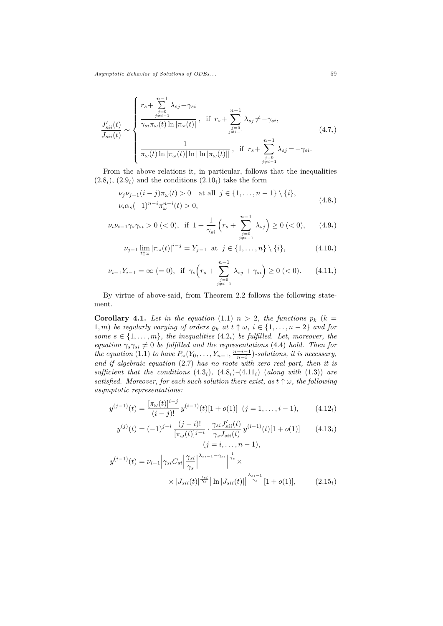$$
\frac{J'_{sii}(t)}{J_{sii}(t)} \sim \begin{cases} r_s + \sum_{\substack{j=0 \ j \neq i-1}}^{n-1} \lambda_{sj} + \gamma_{si} \\ \frac{\gamma_{si}\pi_{\omega}(t)\ln|\pi_{\omega}(t)|}{|\pi_{\omega}(t)|\ln|\pi_{\omega}(t)|}, & \text{if } r_s + \sum_{\substack{j=0 \ j \neq i-1}}^{n-1} \lambda_{sj} \neq -\gamma_{si}, \\ \frac{1}{\pi_{\omega}(t)\ln|\pi_{\omega}(t)|\ln|\ln|\pi_{\omega}(t)|}, & \text{if } r_s + \sum_{\substack{j=0 \ j \neq i-1}}^{n-1} \lambda_{sj} = -\gamma_{si}. \end{cases} (4.7)
$$

From the above relations it, in particular, follows that the inequalities  $(2.8<sub>i</sub>), (2.9<sub>i</sub>)$  and the conditions  $(2.10<sub>i</sub>)$  take the form

$$
\nu_j \nu_{j-1}(i-j) \pi_\omega(t) > 0 \text{ at all } j \in \{1, ..., n-1\} \setminus \{i\},
$$
  

$$
\nu_i \alpha_s (-1)^{n-i} \pi_\omega^{n-i}(t) > 0,
$$
 (4.8<sub>i</sub>)

$$
\nu_i \nu_{i-1} \gamma_s \gamma_{si} > 0 \ (\< 0), \text{ if } 1 + \frac{1}{\gamma_{si}} \left( r_s + \sum_{\substack{j=0 \ j \neq i-1}}^{n-1} \lambda_{sj} \right) \ge 0 \ (\< 0), \tag{4.9}
$$

$$
\nu_{j-1} \lim_{t \uparrow \omega} |\pi_{\omega}(t)|^{i-j} = Y_{j-1} \text{ at } j \in \{1, ..., n\} \setminus \{i\},\tag{4.10i}
$$

$$
\nu_{i-1}Y_{i-1} = \infty (=0), \text{ if } \gamma_s \left( r_s + \sum_{\substack{j=0 \ j \neq i-1}}^{n-1} \lambda_{sj} + \gamma_{si} \right) \ge 0 \ (\le 0). \tag{4.11}_i
$$

By virtue of above-said, from Theorem 2.2 follows the following statement.

**Corollary 4.1.** Let in the equation (1.1)  $n > 2$ , the functions  $p_k$  ( $k =$  $\overline{1,m}$ ) *be regularly varying of orders*  $\rho_k$  *at*  $t \uparrow \omega$ ,  $i \in \{1, \ldots, n-2\}$  *and for some*  $s \in \{1, \ldots, m\}$ *, the inequalities*  $(4.2<sub>i</sub>)$  *be fulfilled. Let, moreover, the equation*  $\gamma_s \gamma_{si} \neq 0$  *be fulfilled and the representations* (4.4) *hold. Then for the equation* (1.1) *to have*  $P_\omega(Y_0, \ldots, Y_{n-1}, \frac{n-i-1}{n-i})$ *-solutions, it is necessary, and if algebraic equation* (2.7) *has no roots with zero real part, then it is sufficient that the conditions*  $(4.3<sub>i</sub>)$ ,  $(4.8<sub>i</sub>)$  $-(4.11<sub>i</sub>)$  (*along with*  $(1.3)$ ) *are satisfied. Moreover, for each such solution there exist, as*  $t \uparrow \omega$ *, the following asymptotic representations:*

$$
y^{(j-1)}(t) = \frac{[\pi_{\omega}(t)]^{i-j}}{(i-j)!} y^{(i-1)}(t) [1 + o(1)] \quad (j = 1, ..., i-1), \tag{4.12i}
$$

$$
y^{(j)}(t) = (-1)^{j-i} \frac{(j-i)!}{[\pi_{\omega}(t)]^{j-i}} \cdot \frac{\gamma_{si} J'_{sii}(t)}{\gamma_s J_{sii}(t)} y^{(i-1)}(t)[1+o(1)] \qquad (4.13_i)
$$

$$
(j = i, \dots, n-1).
$$

$$
y^{(i-1)}(t) = \nu_{i-1} \left| \gamma_{si} C_{si} \right| \frac{\gamma_{si}}{\gamma_s} \left| \frac{\lambda_{si-1} - \gamma_{si}}{\gamma_s} \right| \frac{1}{\gamma_s} \times \times |J_{sii}(t)| \left| \frac{\lambda_{si-1}}{\gamma_s} [1 + o(1)], \right. \tag{2.15}
$$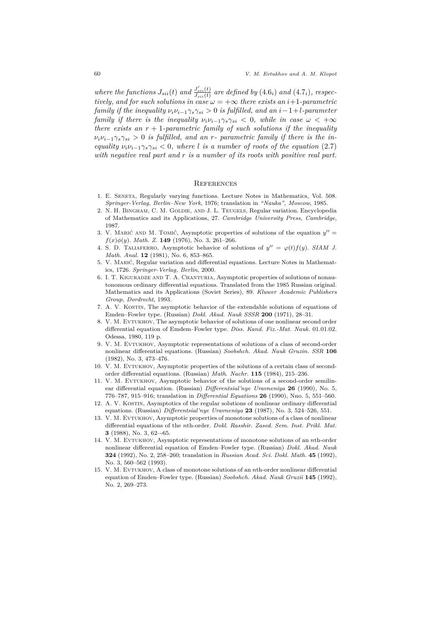*where the functions*  $J_{sii}(t)$  *and*  $\frac{J'_{sii}(t)}{J_{sii}(t)}$  *are defined by*  $(4.6_i)$  *and*  $(4.7_i)$ *, respectively, and for such solutions in case*  $\omega = +\infty$  *there exists an i+1-parametric family if the inequality*  $\nu_i \nu_{i-1} \gamma_s \gamma_{si} > 0$  *is fulfilled, and an*  $i-1+l$ *-parameter family if there is the inequality*  $\nu_i \nu_{i-1} \gamma_s \gamma_{si} < 0$ , while in case  $\omega < +\infty$ *there exists an*  $r + 1$ -parametric family of such solutions if the inequality  $\nu_i \nu_{i-1} \gamma_s \gamma_{si} > 0$  *is fulfilled, and an r- parametric family if there is the inequality*  $\nu_i \nu_{i-1} \gamma_s \gamma_{si} < 0$ , where *l is a number of roots of the equation* (2.7) *with negative real part and r is a number of its roots with positive real part.*

### **REFERENCES**

- 1. E. Seneta, Regularly varying functions. Lecture Notes in Mathematics, Vol. 508. *Springer-Verlag, Berlin–New York*, 1976; translation in *"Nauka", Moscow*, 1985.
- 2. N. H. Bingham, C. M. Goldie, and J. L. Teugels, Regular variation. Encyclopedia of Mathematics and its Applications, 27. *Cambridge University Press, Cambridge*, 1987.
- 3. V. MARIĆ AND M. TOMIĆ, Asymptotic properties of solutions of the equation  $y'' =$ *f*(*x*)*ϕ*(*y*). *Math. Z.* **149** (1976), No. 3, 261–266.
- 4. S. D. TALIAFERRO, Asymptotic behavior of solutions of  $y'' = \varphi(t) f(y)$ . *SIAM J. Math. Anal.* **12** (1981), No. 6, 853–865.
- 5. V. Marić, Regular variation and differential equations. Lecture Notes in Mathematics, 1726. *Springer-Verlag, Berlin*, 2000.
- 6. I. T. Kiguradze and T. A. Chanturia, Asymptotic properties of solutions of nonautonomous ordinary differential equations. Translated from the 1985 Russian original. Mathematics and its Applications (Soviet Series), 89. *Kluwer Academic Publishers Group, Dordrecht*, 1993.
- 7. A. V. Kostin, The asymptotic behavior of the extendable solutions of equations of Emden–Fowler type. (Russian) *Dokl. Akad. Nauk SSSR* **200** (1971), 28–31.
- 8. V. M. EVTUKHOV, The asymptotic behavior of solutions of one nonlinear second order differential equation of Emdem–Fowler type. *Diss. Kand. Fiz.-Mat. Nauk.* 01.01.02. Odessa, 1980, 119 p.
- 9. V. M. EVTUKHOV, Asymptotic representations of solutions of a class of second-order nonlinear differential equations. (Russian) *Soobshch. Akad. Nauk Gruzin. SSR* **106** (1982), No. 3, 473–476.
- 10. V. M. Evtukhov, Asymptotic properties of the solutions of a certain class of secondorder differential equations. (Russian) *Math. Nachr.* **115** (1984), 215–236.
- 11. V. M. Evtukhov, Asymptotic behavior of the solutions of a second-order semilinear differential equation. (Russian) *Differentsial'nye Uravneniya* **26** (1990), No. 5, 776–787, 915–916; translation in *Differential Equations* **26** (1990), Nno. 5, 551–560.
- 12. A. V. Kostin, Asymptotics of the regular solutions of nonlinear ordinary differential equations. (Russian) *Differentsial'nye Uravneniya* **23** (1987), No. 3, 524–526, 551.
- 13. V. M. Evtukhov, Asymptotic properties of monotone solutions of a class of nonlinear differential equations of the *n*th-order. *Dokl. Rasshir. Zased. Sem. Inst. Prikl. Mat.* **3** (1988), No. 3, 62–-65.
- 14. V. M. Evtukhov, Asymptotic representations of monotone solutions of an *n*th-order nonlinear differential equation of Emden–Fowler type. (Russian) *Dokl. Akad. Nauk* **324** (1992), No. 2, 258–260; translation in *Russian Acad. Sci. Dokl. Math.* **45** (1992), No. 3, 560–562 (1993).
- 15. V. M. Evtukhov, A class of monotone solutions of an *n*th-order nonlinear differential equation of Emden–Fowler type. (Russian) *Soobshch. Akad. Nauk Gruzii* **145** (1992), No. 2, 269–273.